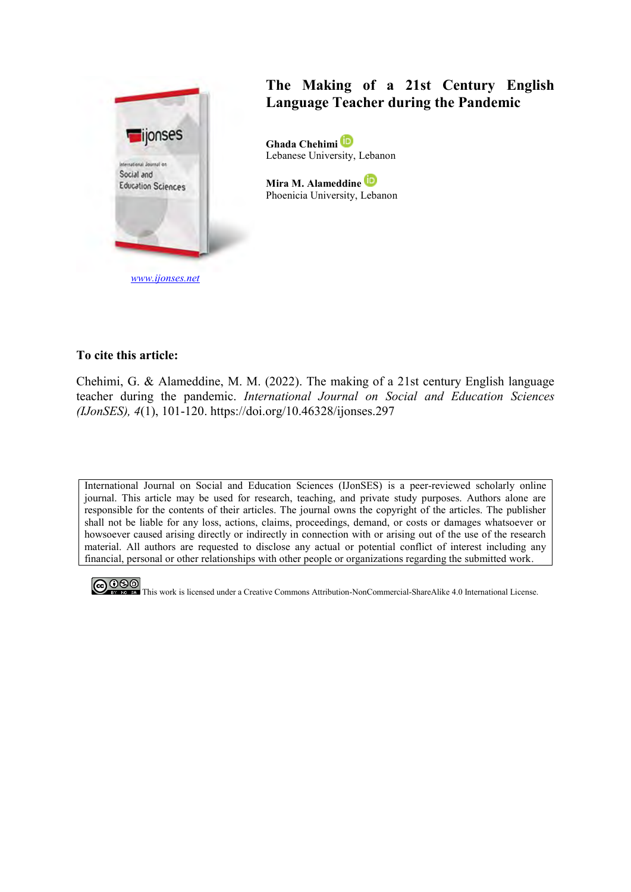

# **The Making of a 21st Century English Language Teacher during the Pandemic**

**Ghada Chehimi**  Lebanese University, Lebanon

**Mira M. Alameddine**  Phoenicia University, Lebanon

## **To cite this article:**

Chehimi, G. & Alameddine, M. M. (2022). The making of a 21st century English language teacher during the pandemic. *International Journal on Social and Education Sciences (IJonSES), 4*(1), 101-120. https://doi.org/10.46328/ijonses.297

International Journal on Social and Education Sciences (IJonSES) is a peer-reviewed scholarly online journal. This article may be used for research, teaching, and private study purposes. Authors alone are responsible for the contents of their articles. The journal owns the copyright of the articles. The publisher shall not be liable for any loss, actions, claims, proceedings, demand, or costs or damages whatsoever or howsoever caused arising directly or indirectly in connection with or arising out of the use of the research material. All authors are requested to disclose any actual or potential conflict of interest including any financial, personal or other relationships with other people or organizations regarding the submitted work.



CO OSO This work is licensed under a Creative Commons Attribution-NonCommercial-ShareAlike 4.0 International License.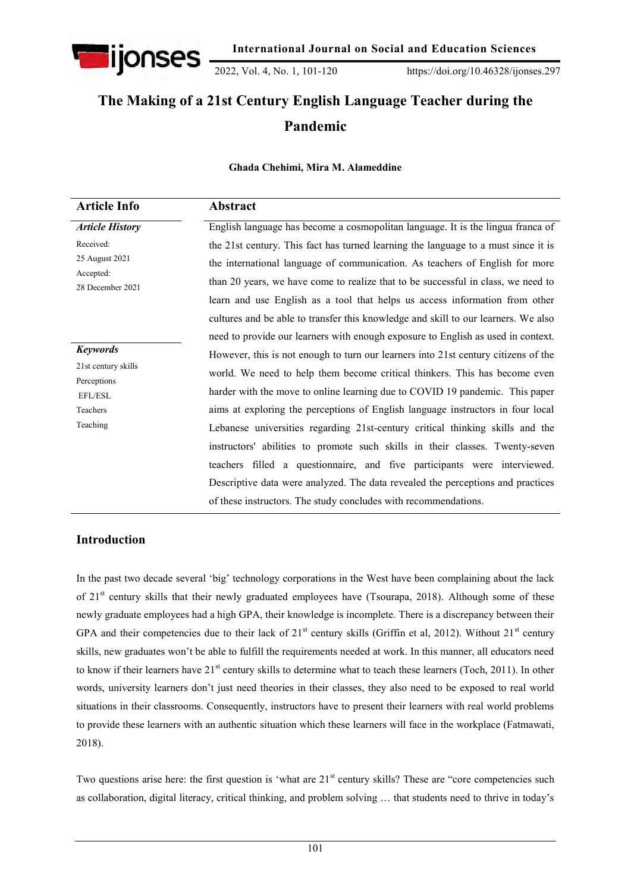

2022, Vol. 4, No. 1, 101-120 https://doi.org/10.46328/ijonses.297

# **The Making of a 21st Century English Language Teacher during the Pandemic**

**Ghada Chehimi, Mira M. Alameddine**

| <b>Article Info</b>           | Abstract                                                                           |
|-------------------------------|------------------------------------------------------------------------------------|
| <b>Article History</b>        | English language has become a cosmopolitan language. It is the lingua franca of    |
| Received:                     | the 21st century. This fact has turned learning the language to a must since it is |
| 25 August 2021                | the international language of communication. As teachers of English for more       |
| Accepted:<br>28 December 2021 | than 20 years, we have come to realize that to be successful in class, we need to  |
|                               | learn and use English as a tool that helps us access information from other        |
|                               | cultures and be able to transfer this knowledge and skill to our learners. We also |
|                               | need to provide our learners with enough exposure to English as used in context.   |
| <b>Keywords</b>               | However, this is not enough to turn our learners into 21st century citizens of the |
| 21st century skills           | world. We need to help them become critical thinkers. This has become even         |
| Perceptions<br>EFL/ESL        | harder with the move to online learning due to COVID 19 pandemic. This paper       |
| Teachers                      | aims at exploring the perceptions of English language instructors in four local    |
| Teaching                      | Lebanese universities regarding 21st-century critical thinking skills and the      |
|                               | instructors' abilities to promote such skills in their classes. Twenty-seven       |
|                               | teachers filled a questionnaire, and five participants were interviewed.           |
|                               | Descriptive data were analyzed. The data revealed the perceptions and practices    |
|                               | of these instructors. The study concludes with recommendations.                    |

# **Introduction**

In the past two decade several "big" technology corporations in the West have been complaining about the lack of 21<sup>st</sup> century skills that their newly graduated employees have (Tsourapa, 2018). Although some of these newly graduate employees had a high GPA, their knowledge is incomplete. There is a discrepancy between their GPA and their competencies due to their lack of  $21<sup>st</sup>$  century skills (Griffin et al, 2012). Without  $21<sup>st</sup>$  century skills, new graduates won"t be able to fulfill the requirements needed at work. In this manner, all educators need to know if their learners have 21<sup>st</sup> century skills to determine what to teach these learners (Toch, 2011). In other words, university learners don"t just need theories in their classes, they also need to be exposed to real world situations in their classrooms. Consequently, instructors have to present their learners with real world problems to provide these learners with an authentic situation which these learners will face in the workplace (Fatmawati, 2018).

Two questions arise here: the first question is 'what are 21<sup>st</sup> century skills? These are "core competencies such as collaboration, digital literacy, critical thinking, and problem solving … that students need to thrive in today"s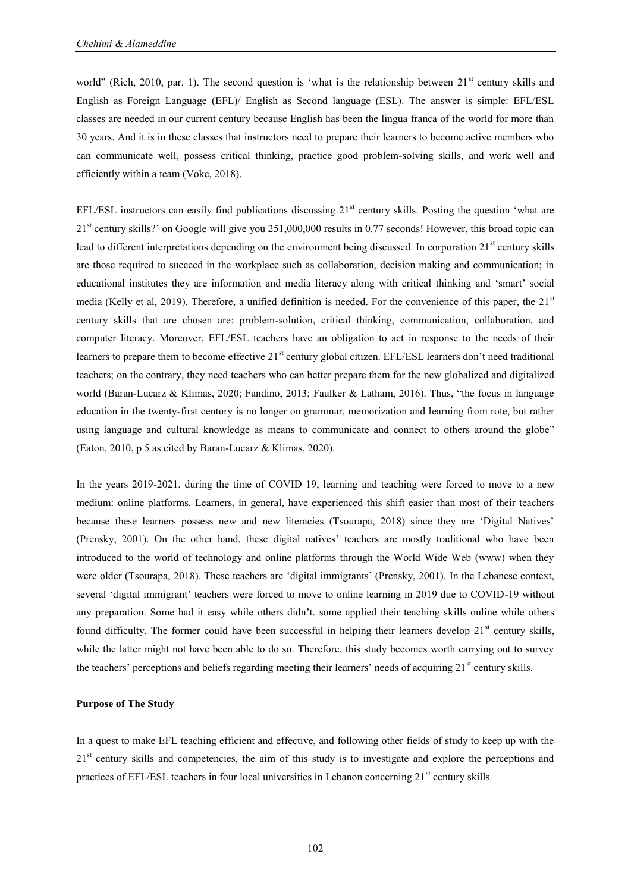world" (Rich, 2010, par. 1). The second question is 'what is the relationship between 21<sup>st</sup> century skills and English as Foreign Language (EFL)/ English as Second language (ESL). The answer is simple: EFL/ESL classes are needed in our current century because English has been the lingua franca of the world for more than 30 years. And it is in these classes that instructors need to prepare their learners to become active members who can communicate well, possess critical thinking, practice good problem-solving skills, and work well and efficiently within a team (Voke, 2018).

EFL/ESL instructors can easily find publications discussing  $21<sup>st</sup>$  century skills. Posting the question 'what are  $21<sup>st</sup>$  century skills?' on Google will give you 251,000,000 results in 0.77 seconds! However, this broad topic can lead to different interpretations depending on the environment being discussed. In corporation 21<sup>st</sup> century skills are those required to succeed in the workplace such as collaboration, decision making and communication; in educational institutes they are information and media literacy along with critical thinking and "smart" social media (Kelly et al, 2019). Therefore, a unified definition is needed. For the convenience of this paper, the  $21<sup>st</sup>$ century skills that are chosen are: problem-solution, critical thinking, communication, collaboration, and computer literacy. Moreover, EFL/ESL teachers have an obligation to act in response to the needs of their learners to prepare them to become effective  $21<sup>st</sup>$  century global citizen. EFL/ESL learners don't need traditional teachers; on the contrary, they need teachers who can better prepare them for the new globalized and digitalized world (Baran-Lucarz & Klimas, 2020; Fandino, 2013; Faulker & Latham, 2016). Thus, "the focus in language education in the twenty-first century is no longer on grammar, memorization and learning from rote, but rather using language and cultural knowledge as means to communicate and connect to others around the globe" (Eaton, 2010, p 5 as cited by Baran-Lucarz & Klimas, 2020).

In the years 2019-2021, during the time of COVID 19, learning and teaching were forced to move to a new medium: online platforms. Learners, in general, have experienced this shift easier than most of their teachers because these learners possess new and new literacies (Tsourapa, 2018) since they are "Digital Natives" (Prensky, 2001). On the other hand, these digital natives" teachers are mostly traditional who have been introduced to the world of technology and online platforms through the World Wide Web (www) when they were older (Tsourapa, 2018). These teachers are "digital immigrants" (Prensky, 2001). In the Lebanese context, several 'digital immigrant' teachers were forced to move to online learning in 2019 due to COVID-19 without any preparation. Some had it easy while others didn"t. some applied their teaching skills online while others found difficulty. The former could have been successful in helping their learners develop  $21<sup>st</sup>$  century skills, while the latter might not have been able to do so. Therefore, this study becomes worth carrying out to survey the teachers' perceptions and beliefs regarding meeting their learners' needs of acquiring 21<sup>st</sup> century skills.

## **Purpose of The Study**

In a quest to make EFL teaching efficient and effective, and following other fields of study to keep up with the 21<sup>st</sup> century skills and competencies, the aim of this study is to investigate and explore the perceptions and practices of EFL/ESL teachers in four local universities in Lebanon concerning  $21<sup>st</sup>$  century skills.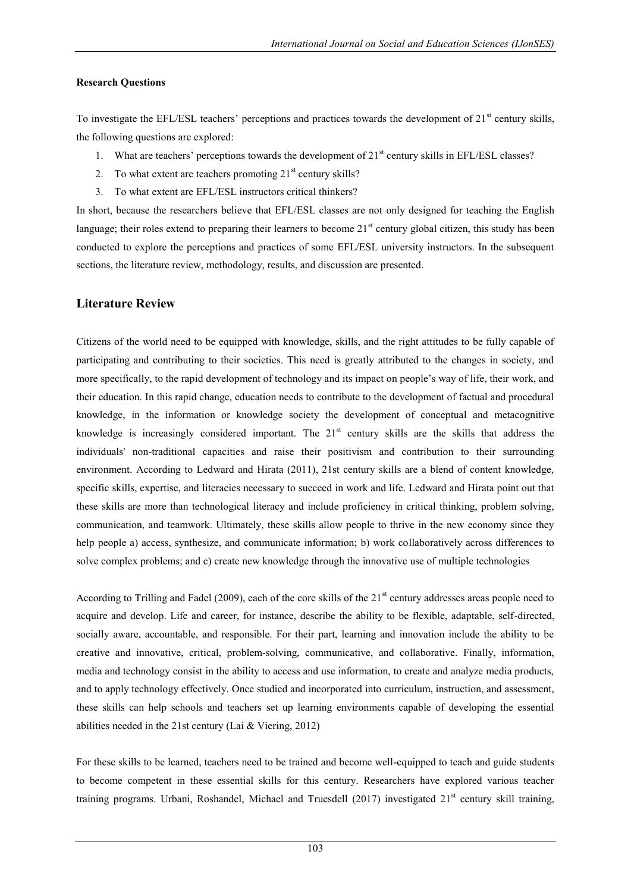#### **Research Questions**

To investigate the EFL/ESL teachers' perceptions and practices towards the development of  $21<sup>st</sup>$  century skills, the following questions are explored:

- 1. What are teachers' perceptions towards the development of  $21<sup>st</sup>$  century skills in EFL/ESL classes?
- 2. To what extent are teachers promoting  $21<sup>st</sup>$  century skills?
- 3. To what extent are EFL/ESL instructors critical thinkers?

In short, because the researchers believe that EFL/ESL classes are not only designed for teaching the English language; their roles extend to preparing their learners to become  $21<sup>st</sup>$  century global citizen, this study has been conducted to explore the perceptions and practices of some EFL/ESL university instructors. In the subsequent sections, the literature review, methodology, results, and discussion are presented.

# **Literature Review**

Citizens of the world need to be equipped with knowledge, skills, and the right attitudes to be fully capable of participating and contributing to their societies. This need is greatly attributed to the changes in society, and more specifically, to the rapid development of technology and its impact on people"s way of life, their work, and their education. In this rapid change, education needs to contribute to the development of factual and procedural knowledge, in the information or knowledge society the development of conceptual and metacognitive knowledge is increasingly considered important. The  $21<sup>st</sup>$  century skills are the skills that address the individuals' non-traditional capacities and raise their positivism and contribution to their surrounding environment. According to Ledward and Hirata (2011), 21st century skills are a blend of content knowledge, specific skills, expertise, and literacies necessary to succeed in work and life. Ledward and Hirata point out that these skills are more than technological literacy and include proficiency in critical thinking, problem solving, communication, and teamwork. Ultimately, these skills allow people to thrive in the new economy since they help people a) access, synthesize, and communicate information; b) work collaboratively across differences to solve complex problems; and c) create new knowledge through the innovative use of multiple technologies

According to Trilling and Fadel (2009), each of the core skills of the  $21<sup>st</sup>$  century addresses areas people need to acquire and develop. Life and career, for instance, describe the ability to be flexible, adaptable, self-directed, socially aware, accountable, and responsible. For their part, learning and innovation include the ability to be creative and innovative, critical, problem-solving, communicative, and collaborative. Finally, information, media and technology consist in the ability to access and use information, to create and analyze media products, and to apply technology effectively. Once studied and incorporated into curriculum, instruction, and assessment, these skills can help schools and teachers set up learning environments capable of developing the essential abilities needed in the 21st century (Lai & Viering, 2012)

For these skills to be learned, teachers need to be trained and become well-equipped to teach and guide students to become competent in these essential skills for this century. Researchers have explored various teacher training programs. Urbani, Roshandel, Michael and Truesdell (2017) investigated  $21<sup>st</sup>$  century skill training,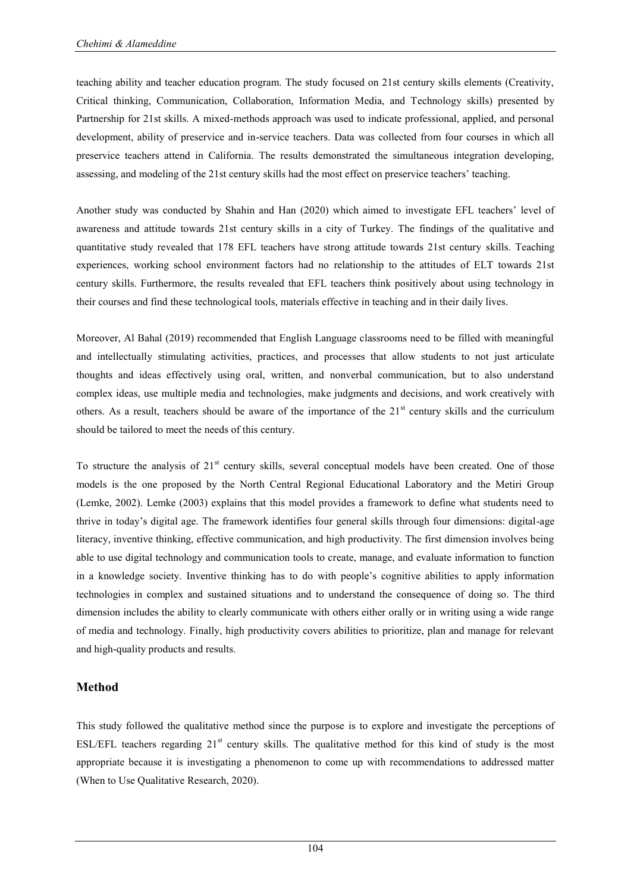teaching ability and teacher education program. The study focused on 21st century skills elements (Creativity, Critical thinking, Communication, Collaboration, Information Media, and Technology skills) presented by Partnership for 21st skills. A mixed-methods approach was used to indicate professional, applied, and personal development, ability of preservice and in-service teachers. Data was collected from four courses in which all preservice teachers attend in California. The results demonstrated the simultaneous integration developing, assessing, and modeling of the 21st century skills had the most effect on preservice teachers" teaching.

Another study was conducted by Shahin and Han (2020) which aimed to investigate EFL teachers" level of awareness and attitude towards 21st century skills in a city of Turkey. The findings of the qualitative and quantitative study revealed that 178 EFL teachers have strong attitude towards 21st century skills. Teaching experiences, working school environment factors had no relationship to the attitudes of ELT towards 21st century skills. Furthermore, the results revealed that EFL teachers think positively about using technology in their courses and find these technological tools, materials effective in teaching and in their daily lives.

Moreover, Al Bahal (2019) recommended that English Language classrooms need to be filled with meaningful and intellectually stimulating activities, practices, and processes that allow students to not just articulate thoughts and ideas effectively using oral, written, and nonverbal communication, but to also understand complex ideas, use multiple media and technologies, make judgments and decisions, and work creatively with others. As a result, teachers should be aware of the importance of the  $21<sup>st</sup>$  century skills and the curriculum should be tailored to meet the needs of this century.

To structure the analysis of  $21<sup>st</sup>$  century skills, several conceptual models have been created. One of those models is the one proposed by the North Central Regional Educational Laboratory and the Metiri Group (Lemke, 2002). Lemke (2003) explains that this model provides a framework to define what students need to thrive in today"s digital age. The framework identifies four general skills through four dimensions: digital-age literacy, inventive thinking, effective communication, and high productivity. The first dimension involves being able to use digital technology and communication tools to create, manage, and evaluate information to function in a knowledge society. Inventive thinking has to do with people"s cognitive abilities to apply information technologies in complex and sustained situations and to understand the consequence of doing so. The third dimension includes the ability to clearly communicate with others either orally or in writing using a wide range of media and technology. Finally, high productivity covers abilities to prioritize, plan and manage for relevant and high-quality products and results.

# **Method**

This study followed the qualitative method since the purpose is to explore and investigate the perceptions of ESL/EFL teachers regarding  $21<sup>st</sup>$  century skills. The qualitative method for this kind of study is the most appropriate because it is investigating a phenomenon to come up with recommendations to addressed matter (When to Use Qualitative Research, 2020).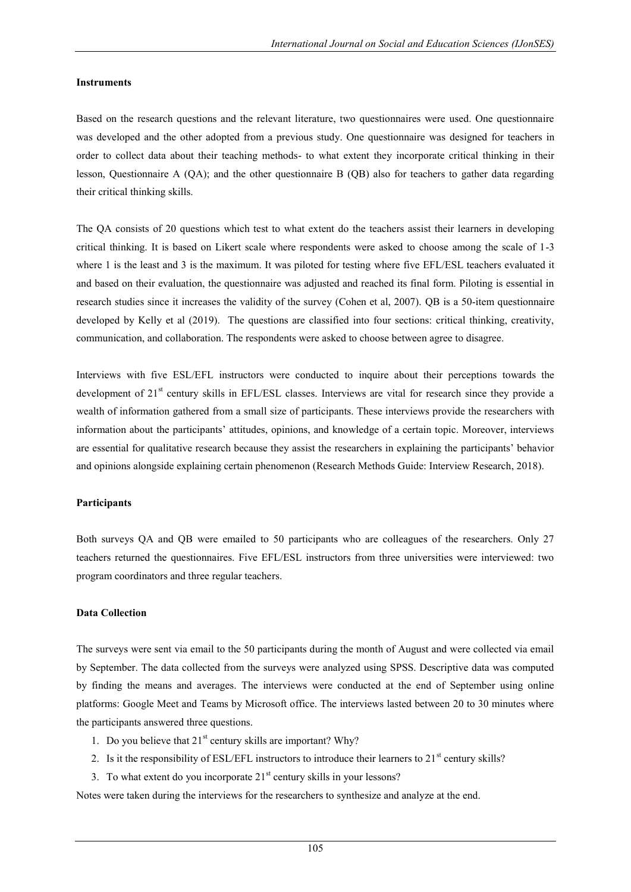#### **Instruments**

Based on the research questions and the relevant literature, two questionnaires were used. One questionnaire was developed and the other adopted from a previous study. One questionnaire was designed for teachers in order to collect data about their teaching methods- to what extent they incorporate critical thinking in their lesson, Questionnaire A (QA); and the other questionnaire B (QB) also for teachers to gather data regarding their critical thinking skills.

The QA consists of 20 questions which test to what extent do the teachers assist their learners in developing critical thinking. It is based on Likert scale where respondents were asked to choose among the scale of 1-3 where 1 is the least and 3 is the maximum. It was piloted for testing where five EFL/ESL teachers evaluated it and based on their evaluation, the questionnaire was adjusted and reached its final form. Piloting is essential in research studies since it increases the validity of the survey (Cohen et al, 2007). QB is a 50-item questionnaire developed by Kelly et al (2019). The questions are classified into four sections: critical thinking, creativity, communication, and collaboration. The respondents were asked to choose between agree to disagree.

Interviews with five ESL/EFL instructors were conducted to inquire about their perceptions towards the development of 21<sup>st</sup> century skills in EFL/ESL classes. Interviews are vital for research since they provide a wealth of information gathered from a small size of participants. These interviews provide the researchers with information about the participants" attitudes, opinions, and knowledge of a certain topic. Moreover, interviews are essential for qualitative research because they assist the researchers in explaining the participants" behavior and opinions alongside explaining certain phenomenon (Research Methods Guide: Interview Research, 2018).

#### **Participants**

Both surveys QA and QB were emailed to 50 participants who are colleagues of the researchers. Only 27 teachers returned the questionnaires. Five EFL/ESL instructors from three universities were interviewed: two program coordinators and three regular teachers.

#### **Data Collection**

The surveys were sent via email to the 50 participants during the month of August and were collected via email by September. The data collected from the surveys were analyzed using SPSS. Descriptive data was computed by finding the means and averages. The interviews were conducted at the end of September using online platforms: Google Meet and Teams by Microsoft office. The interviews lasted between 20 to 30 minutes where the participants answered three questions.

- 1. Do you believe that  $21<sup>st</sup>$  century skills are important? Why?
- 2. Is it the responsibility of ESL/EFL instructors to introduce their learners to 21<sup>st</sup> century skills?
- 3. To what extent do you incorporate  $21<sup>st</sup>$  century skills in your lessons?

Notes were taken during the interviews for the researchers to synthesize and analyze at the end.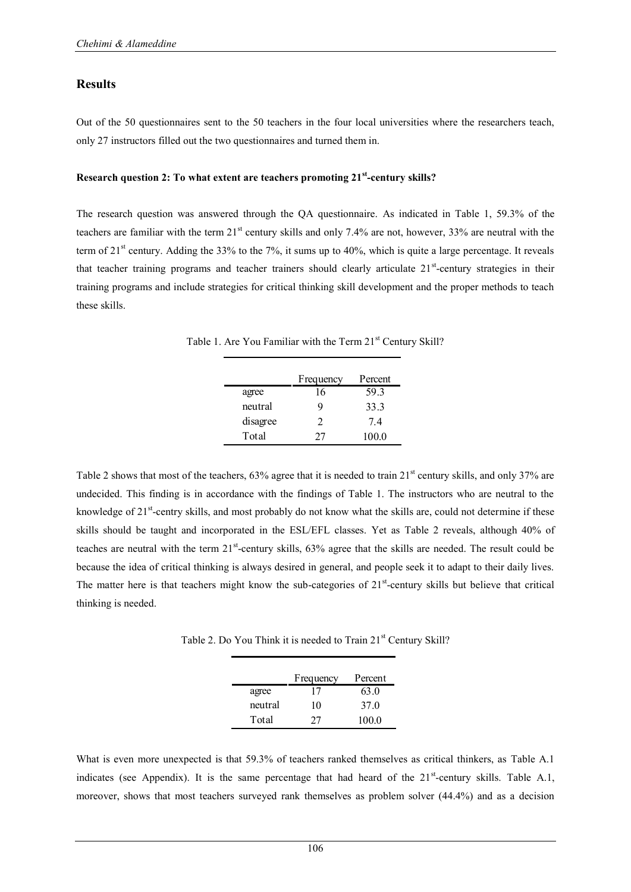#### **Results**

Out of the 50 questionnaires sent to the 50 teachers in the four local universities where the researchers teach, only 27 instructors filled out the two questionnaires and turned them in.

#### **Research question 2: To what extent are teachers promoting 21st-century skills?**

The research question was answered through the QA questionnaire. As indicated in Table 1, 59.3% of the teachers are familiar with the term 21<sup>st</sup> century skills and only 7.4% are not, however, 33% are neutral with the term of 21 $\rm{st}$  century. Adding the 33% to the 7%, it sums up to 40%, which is quite a large percentage. It reveals that teacher training programs and teacher trainers should clearly articulate 21<sup>st</sup>-century strategies in their training programs and include strategies for critical thinking skill development and the proper methods to teach these skills.

Table 1. Are You Familiar with the Term 21<sup>st</sup> Century Skill?

|          | Frequency                   | Percent |
|----------|-----------------------------|---------|
| agree    | 16                          | 59.3    |
| neutral  | Q                           | 33.3    |
| disagree | $\mathcal{D}_{\mathcal{L}}$ | 74      |
| Total    | 77                          | 100.0   |

Table 2 shows that most of the teachers,  $63\%$  agree that it is needed to train  $21<sup>st</sup>$  century skills, and only 37% are undecided. This finding is in accordance with the findings of Table 1. The instructors who are neutral to the knowledge of  $21^{st}$ -centry skills, and most probably do not know what the skills are, could not determine if these skills should be taught and incorporated in the ESL/EFL classes. Yet as Table 2 reveals, although 40% of teaches are neutral with the term 21<sup>st</sup>-century skills, 63% agree that the skills are needed. The result could be because the idea of critical thinking is always desired in general, and people seek it to adapt to their daily lives. The matter here is that teachers might know the sub-categories of  $21<sup>st</sup>$ -century skills but believe that critical thinking is needed.

Table 2. Do You Think it is needed to Train 21<sup>st</sup> Century Skill?

|         | Frequency | Percent         |
|---------|-----------|-----------------|
| agree   | 17        | 63.0            |
| neutral | 10        | 37 <sup>0</sup> |
| Total   | 27        | 100.0           |

What is even more unexpected is that 59.3% of teachers ranked themselves as critical thinkers, as Table A.1 indicates (see Appendix). It is the same percentage that had heard of the  $21<sup>st</sup>$ -century skills. Table A.1, moreover, shows that most teachers surveyed rank themselves as problem solver (44.4%) and as a decision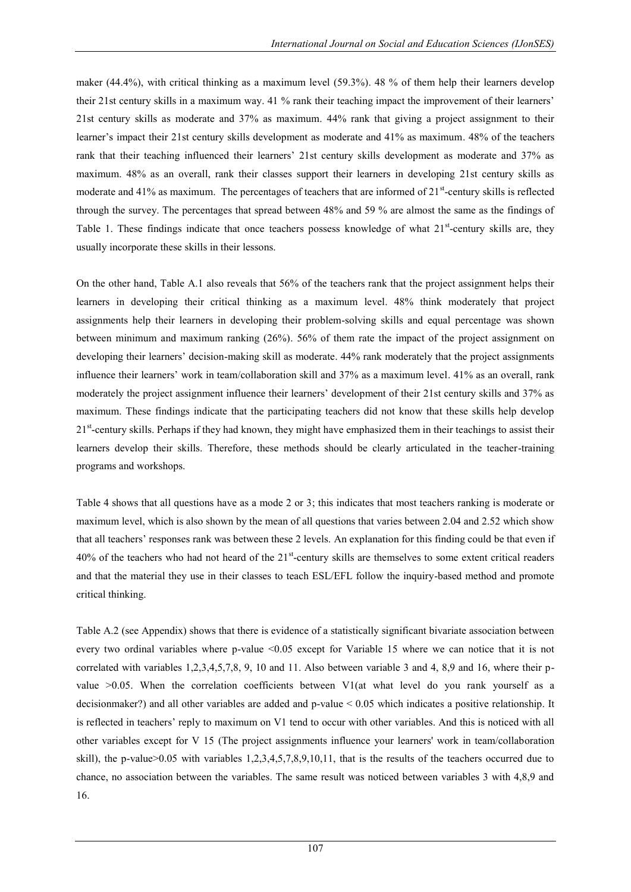maker (44.4%), with critical thinking as a maximum level (59.3%). 48 % of them help their learners develop their 21st century skills in a maximum way. 41 % rank their teaching impact the improvement of their learners" 21st century skills as moderate and 37% as maximum. 44% rank that giving a project assignment to their learner"s impact their 21st century skills development as moderate and 41% as maximum. 48% of the teachers rank that their teaching influenced their learners" 21st century skills development as moderate and 37% as maximum. 48% as an overall, rank their classes support their learners in developing 21st century skills as moderate and 41% as maximum. The percentages of teachers that are informed of  $21<sup>st</sup>$ -century skills is reflected through the survey. The percentages that spread between 48% and 59 % are almost the same as the findings of Table 1. These findings indicate that once teachers possess knowledge of what  $21^{st}$ -century skills are, they usually incorporate these skills in their lessons.

On the other hand, Table A.1 also reveals that 56% of the teachers rank that the project assignment helps their learners in developing their critical thinking as a maximum level. 48% think moderately that project assignments help their learners in developing their problem-solving skills and equal percentage was shown between minimum and maximum ranking (26%). 56% of them rate the impact of the project assignment on developing their learners" decision-making skill as moderate. 44% rank moderately that the project assignments influence their learners" work in team/collaboration skill and 37% as a maximum level. 41% as an overall, rank moderately the project assignment influence their learners" development of their 21st century skills and 37% as maximum. These findings indicate that the participating teachers did not know that these skills help develop 21<sup>st</sup>-century skills. Perhaps if they had known, they might have emphasized them in their teachings to assist their learners develop their skills. Therefore, these methods should be clearly articulated in the teacher-training programs and workshops.

Table 4 shows that all questions have as a mode 2 or 3; this indicates that most teachers ranking is moderate or maximum level, which is also shown by the mean of all questions that varies between 2.04 and 2.52 which show that all teachers" responses rank was between these 2 levels. An explanation for this finding could be that even if 40% of the teachers who had not heard of the  $21<sup>st</sup>$ -century skills are themselves to some extent critical readers and that the material they use in their classes to teach ESL/EFL follow the inquiry-based method and promote critical thinking.

Table A.2 (see Appendix) shows that there is evidence of a statistically significant bivariate association between every two ordinal variables where p-value <0.05 except for Variable 15 where we can notice that it is not correlated with variables 1,2,3,4,5,7,8, 9, 10 and 11. Also between variable 3 and 4, 8,9 and 16, where their pvalue >0.05. When the correlation coefficients between V1(at what level do you rank yourself as a decisionmaker?) and all other variables are added and p-value < 0.05 which indicates a positive relationship. It is reflected in teachers' reply to maximum on V1 tend to occur with other variables. And this is noticed with all other variables except for V 15 (The project assignments influence your learners' work in team/collaboration skill), the p-value>0.05 with variables 1,2,3,4,5,7,8,9,10,11, that is the results of the teachers occurred due to chance, no association between the variables. The same result was noticed between variables 3 with 4,8,9 and 16.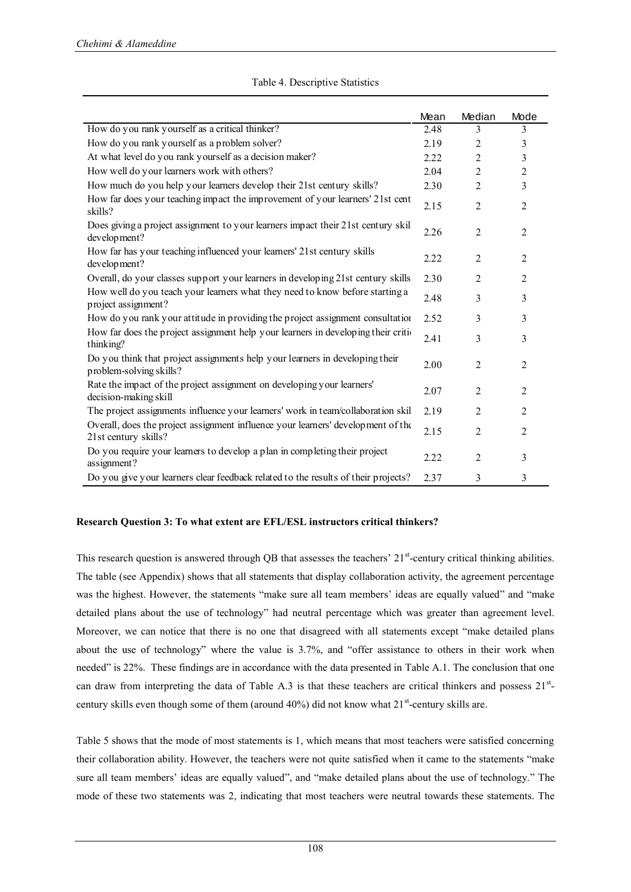|                                                                                                          | Mean | Median         | Mode           |
|----------------------------------------------------------------------------------------------------------|------|----------------|----------------|
| How do you rank yourself as a critical thinker?                                                          | 2.48 | 3              | 3              |
| How do you rank yourself as a problem solver?                                                            | 2.19 | $\overline{c}$ | 3              |
| At what level do you rank yourself as a decision maker?                                                  | 2.22 | $\overline{2}$ | 3              |
| How well do your learners work with others?                                                              | 2.04 | $\overline{2}$ | $\mathfrak{2}$ |
| How much do you help your learners develop their 21st century skills?                                    | 2.30 | $\overline{2}$ | 3              |
| How far does your teaching impact the improvement of your learners' 21st cent<br>skills?                 | 2.15 | $\overline{2}$ | $\overline{c}$ |
| Does giving a project assignment to your learners impact their 21st century skill<br>development?        | 2.26 | $\overline{2}$ | $\overline{2}$ |
| How far has your teaching influenced your learners' 21st century skills<br>development?                  | 2.22 | $\overline{2}$ | $\overline{2}$ |
| Overall, do your classes support your learners in developing 21st century skills                         | 2.30 | $\overline{2}$ | $\overline{2}$ |
| How well do you teach your learners what they need to know before starting a<br>project assignment?      | 2.48 | 3              | 3              |
| How do you rank your attitude in providing the project assignment consultation                           | 2.52 | 3              | 3              |
| How far does the project assignment help your learners in developing their critic<br>thinking?           | 2.41 | 3              | 3              |
| Do you think that project assignments help your learners in developing their<br>problem-solving skills?  | 2.00 | $\overline{2}$ | $\overline{2}$ |
| Rate the impact of the project assignment on developing your learners'<br>decision-making skill          | 2.07 | $\overline{2}$ | 2              |
| The project assignments influence your learners' work in team/collaboration skil                         | 2.19 | $\overline{2}$ | 2              |
| Overall, does the project assignment influence your learners' development of the<br>21st century skills? | 2.15 | 2              | 2              |
| Do you require your learners to develop a plan in completing their project<br>assignment?                | 2.22 | $\overline{2}$ | 3              |
| Do you give your learners clear feedback related to the results of their projects?                       | 2.37 | 3              | 3              |

#### Table 4. Descriptive Statistics

## **Research Question 3: To what extent are EFL/ESL instructors critical thinkers?**

This research question is answered through QB that assesses the teachers'  $21<sup>st</sup>$ -century critical thinking abilities. The table (see Appendix) shows that all statements that display collaboration activity, the agreement percentage was the highest. However, the statements "make sure all team members' ideas are equally valued" and "make detailed plans about the use of technology" had neutral percentage which was greater than agreement level. Moreover, we can notice that there is no one that disagreed with all statements except "make detailed plans about the use of technology" where the value is 3.7%, and "offer assistance to others in their work when needed" is 22%. These findings are in accordance with the data presented in Table A.1. The conclusion that one can draw from interpreting the data of Table A.3 is that these teachers are critical thinkers and possess  $21<sup>st</sup>$ . century skills even though some of them (around  $40\%$ ) did not know what  $21<sup>st</sup>$ -century skills are.

Table 5 shows that the mode of most statements is 1, which means that most teachers were satisfied concerning their collaboration ability. However, the teachers were not quite satisfied when it came to the statements "make sure all team members' ideas are equally valued", and "make detailed plans about the use of technology." The mode of these two statements was 2, indicating that most teachers were neutral towards these statements. The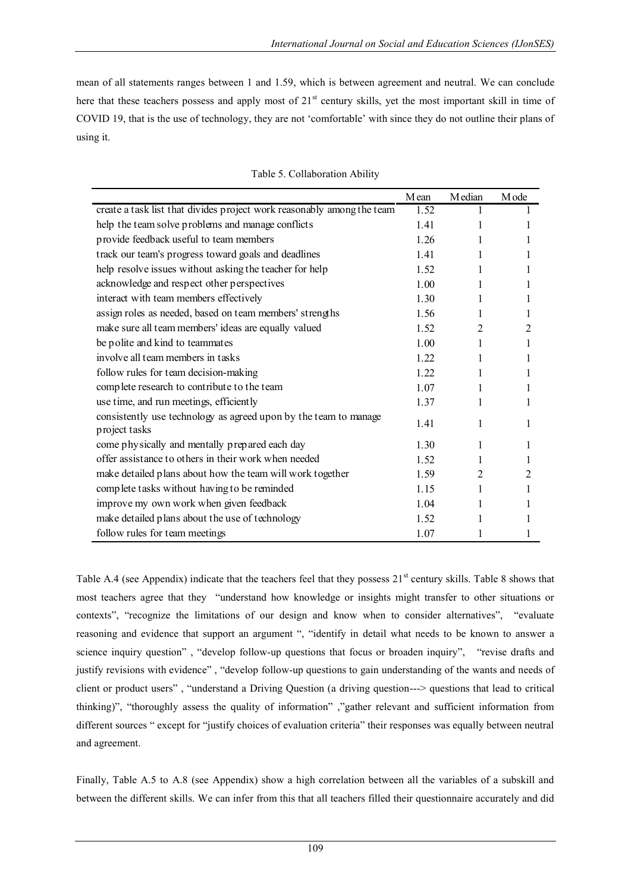mean of all statements ranges between 1 and 1.59, which is between agreement and neutral. We can conclude here that these teachers possess and apply most of 21<sup>st</sup> century skills, yet the most important skill in time of COVID 19, that is the use of technology, they are not "comfortable" with since they do not outline their plans of using it.

|                                                                                   | Mean  | M edian | M ode          |
|-----------------------------------------------------------------------------------|-------|---------|----------------|
| create a task list that divides project work reasonably among the team            | 1.52  |         |                |
| help the team solve problems and manage conflicts                                 | 1.41  |         |                |
| provide feedback useful to team members                                           | 1.26  | 1       |                |
| track our team's progress toward goals and deadlines                              | 141   | 1       | 1              |
| help resolve issues without asking the teacher for help                           | 1.52  | 1       |                |
| acknowledge and respect other perspectives                                        | 1.00  | 1       | 1              |
| interact with team members effectively                                            | 1.30  | 1       | 1              |
| assign roles as needed, based on team members' strengths                          | 1.56  | 1       | 1              |
| make sure all team members' ideas are equally valued                              | 1.52  | 2       | 2              |
| be polite and kind to teammates                                                   | 1.00  | 1       |                |
| involve all team members in tasks                                                 | 1.22  |         |                |
| follow rules for team decision-making                                             | 1 2 2 | 1       | 1              |
| complete research to contribute to the team                                       | 1.07  | 1       | 1              |
| use time, and run meetings, efficiently                                           | 1.37  | 1       |                |
| consistently use technology as agreed upon by the team to manage<br>project tasks | 1.41  | 1       | 1              |
| come physically and mentally prepared each day                                    | 1.30  | 1       |                |
| offer assistance to others in their work when needed                              | 1.52  |         |                |
| make detailed plans about how the team will work together                         | 1.59  | 2       | $\overline{2}$ |
| complete tasks without having to be reminded                                      | 1.15  | 1       |                |
| improve my own work when given feedback                                           | 1.04  |         |                |
| make detailed plans about the use of technology                                   | 1.52  |         |                |
| follow rules for team meetings                                                    | 1.07  |         |                |

Table A.4 (see Appendix) indicate that the teachers feel that they possess  $21<sup>st</sup>$  century skills. Table 8 shows that most teachers agree that they "understand how knowledge or insights might transfer to other situations or contexts", "recognize the limitations of our design and know when to consider alternatives", "evaluate reasoning and evidence that support an argument ", "identify in detail what needs to be known to answer a science inquiry question" , "develop follow-up questions that focus or broaden inquiry", "revise drafts and justify revisions with evidence" , "develop follow-up questions to gain understanding of the wants and needs of client or product users" , "understand a Driving Question (a driving question---> questions that lead to critical thinking)", "thoroughly assess the quality of information" ,"gather relevant and sufficient information from different sources " except for "justify choices of evaluation criteria" their responses was equally between neutral and agreement.

Finally, Table A.5 to A.8 (see Appendix) show a high correlation between all the variables of a subskill and between the different skills. We can infer from this that all teachers filled their questionnaire accurately and did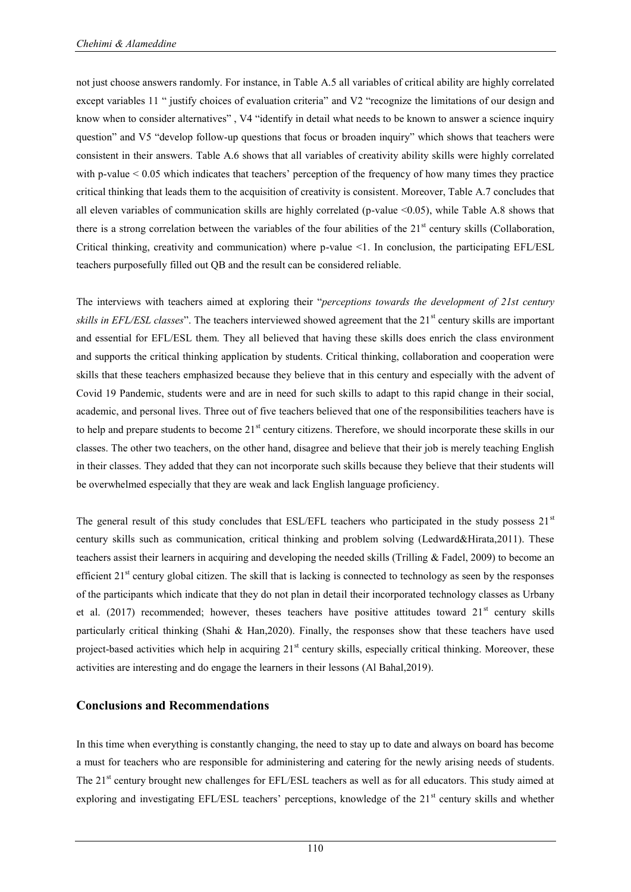not just choose answers randomly. For instance, in Table A.5 all variables of critical ability are highly correlated except variables 11 " justify choices of evaluation criteria" and V2 "recognize the limitations of our design and know when to consider alternatives" , V4 "identify in detail what needs to be known to answer a science inquiry question" and V5 "develop follow-up questions that focus or broaden inquiry" which shows that teachers were consistent in their answers. Table A.6 shows that all variables of creativity ability skills were highly correlated with p-value < 0.05 which indicates that teachers' perception of the frequency of how many times they practice critical thinking that leads them to the acquisition of creativity is consistent. Moreover, Table A.7 concludes that all eleven variables of communication skills are highly correlated (p-value <0.05), while Table A.8 shows that there is a strong correlation between the variables of the four abilities of the  $21<sup>st</sup>$  century skills (Collaboration, Critical thinking, creativity and communication) where p-value <1. In conclusion, the participating EFL/ESL teachers purposefully filled out QB and the result can be considered reliable.

The interviews with teachers aimed at exploring their "*perceptions towards the development of 21st century skills in EFL/ESL classes*". The teachers interviewed showed agreement that the 21<sup>st</sup> century skills are important and essential for EFL/ESL them. They all believed that having these skills does enrich the class environment and supports the critical thinking application by students. Critical thinking, collaboration and cooperation were skills that these teachers emphasized because they believe that in this century and especially with the advent of Covid 19 Pandemic, students were and are in need for such skills to adapt to this rapid change in their social, academic, and personal lives. Three out of five teachers believed that one of the responsibilities teachers have is to help and prepare students to become 21<sup>st</sup> century citizens. Therefore, we should incorporate these skills in our classes. The other two teachers, on the other hand, disagree and believe that their job is merely teaching English in their classes. They added that they can not incorporate such skills because they believe that their students will be overwhelmed especially that they are weak and lack English language proficiency.

The general result of this study concludes that ESL/EFL teachers who participated in the study possess  $21<sup>st</sup>$ century skills such as communication, critical thinking and problem solving (Ledward&Hirata,2011). These teachers assist their learners in acquiring and developing the needed skills (Trilling & Fadel, 2009) to become an efficient  $21<sup>st</sup>$  century global citizen. The skill that is lacking is connected to technology as seen by the responses of the participants which indicate that they do not plan in detail their incorporated technology classes as Urbany et al. (2017) recommended; however, theses teachers have positive attitudes toward  $21<sup>st</sup>$  century skills particularly critical thinking (Shahi & Han,2020). Finally, the responses show that these teachers have used project-based activities which help in acquiring 21<sup>st</sup> century skills, especially critical thinking. Moreover, these activities are interesting and do engage the learners in their lessons (Al Bahal,2019).

## **Conclusions and Recommendations**

In this time when everything is constantly changing, the need to stay up to date and always on board has become a must for teachers who are responsible for administering and catering for the newly arising needs of students. The 21<sup>st</sup> century brought new challenges for EFL/ESL teachers as well as for all educators. This study aimed at exploring and investigating EFL/ESL teachers' perceptions, knowledge of the 21<sup>st</sup> century skills and whether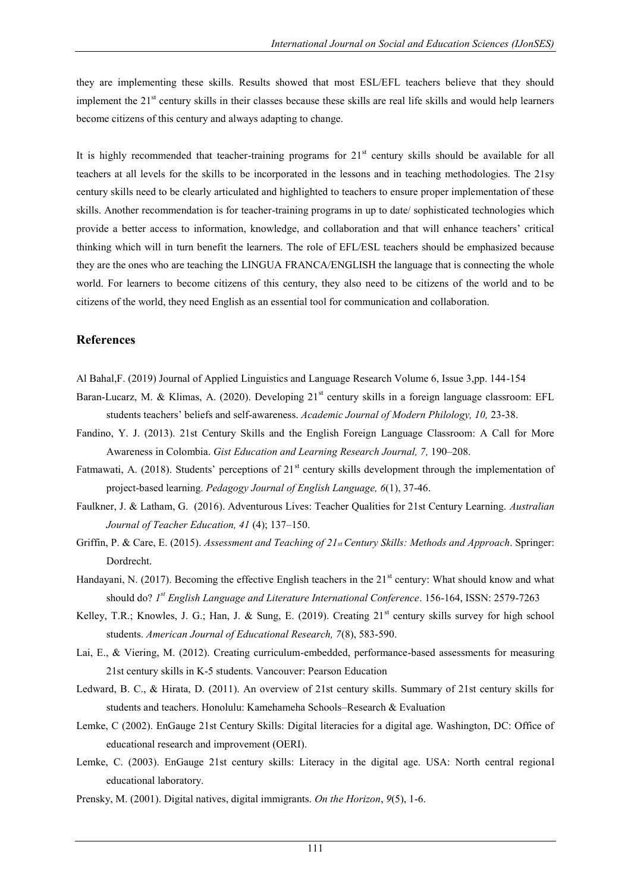they are implementing these skills. Results showed that most ESL/EFL teachers believe that they should implement the  $21<sup>st</sup>$  century skills in their classes because these skills are real life skills and would help learners become citizens of this century and always adapting to change.

It is highly recommended that teacher-training programs for  $21<sup>st</sup>$  century skills should be available for all teachers at all levels for the skills to be incorporated in the lessons and in teaching methodologies. The 21sy century skills need to be clearly articulated and highlighted to teachers to ensure proper implementation of these skills. Another recommendation is for teacher-training programs in up to date/ sophisticated technologies which provide a better access to information, knowledge, and collaboration and that will enhance teachers" critical thinking which will in turn benefit the learners. The role of EFL/ESL teachers should be emphasized because they are the ones who are teaching the LINGUA FRANCA/ENGLISH the language that is connecting the whole world. For learners to become citizens of this century, they also need to be citizens of the world and to be citizens of the world, they need English as an essential tool for communication and collaboration.

## **References**

- Al Bahal,F. (2019) Journal of Applied Linguistics and Language Research Volume 6, Issue 3,pp. 144-154
- Baran-Lucarz, M. & Klimas, A. (2020). Developing 21<sup>st</sup> century skills in a foreign language classroom: EFL students teachers" beliefs and self-awareness. *Academic Journal of Modern Philology, 10,* 23-38.
- Fandino, Y. J. (2013). 21st Century Skills and the English Foreign Language Classroom: A Call for More Awareness in Colombia. *Gist Education and Learning Research Journal, 7,* 190–208.
- Fatmawati, A. (2018). Students' perceptions of 21<sup>st</sup> century skills development through the implementation of project-based learning. *Pedagogy Journal of English Language, 6*(1), 37-46.
- Faulkner, J. & Latham, G. (2016). Adventurous Lives: Teacher Qualities for 21st Century Learning. *Australian Journal of Teacher Education, 41* (4); 137–150.
- Griffin, P. & Care, E. (2015). *Assessment and Teaching of 21st Century Skills: Methods and Approach*. Springer: Dordrecht.
- Handayani, N. (2017). Becoming the effective English teachers in the 21<sup>st</sup> century: What should know and what should do? *1 st English Language and Literature International Conference*. 156-164, ISSN: 2579-7263
- Kelley, T.R.; Knowles, J. G.; Han, J. & Sung, E. (2019). Creating  $21<sup>st</sup>$  century skills survey for high school students. *American Journal of Educational Research, 7*(8), 583-590.
- Lai, E., & Viering, M. (2012). Creating curriculum-embedded, performance-based assessments for measuring 21st century skills in K-5 students. Vancouver: Pearson Education
- Ledward, B. C., & Hirata, D. (2011). An overview of 21st century skills. Summary of 21st century skills for students and teachers. Honolulu: Kamehameha Schools–Research & Evaluation
- Lemke, C (2002). EnGauge 21st Century Skills: Digital literacies for a digital age. Washington, DC: Office of educational research and improvement (OERI).
- Lemke, C. (2003). EnGauge 21st century skills: Literacy in the digital age. USA: North central regional educational laboratory.
- Prensky, M. (2001). Digital natives, digital immigrants. *On the Horizon*, *9*(5), 1-6.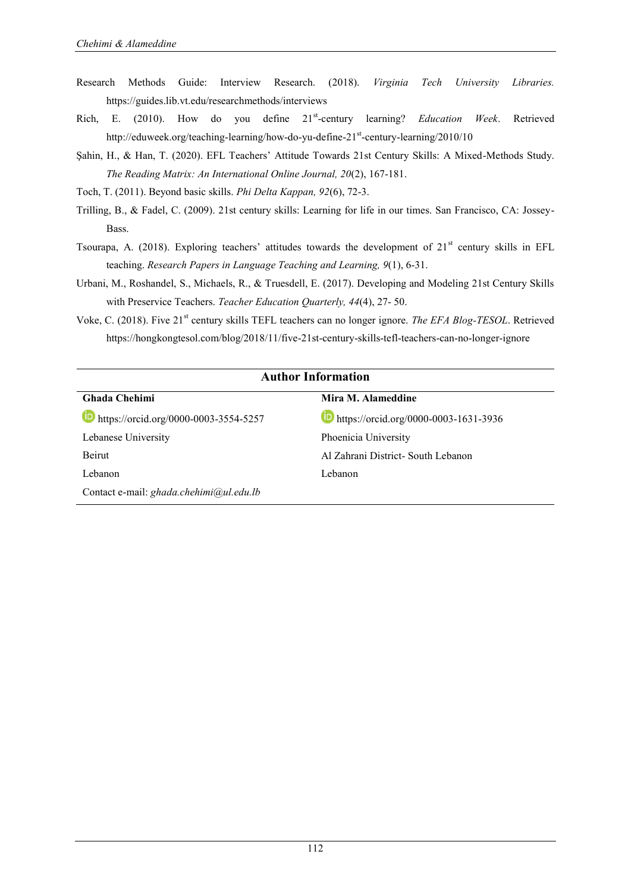- Research Methods Guide: Interview Research. (2018). *Virginia Tech University Libraries.* <https://guides.lib.vt.edu/researchmethods/interviews>
- Rich, E. (2010). How do you define 21st-century learning? *Education Week*. Retrieved [http://eduweek.org/teaching-learning/how-do-yu-define-21](http://eduweek.org/teaching-learning/how-do-yu-define-21st-century-learning/2010/10)<sup>st</sup>-century-learning/2010/10
- Şahin, H., & Han, T. (2020). EFL Teachers" Attitude Towards 21st Century Skills: A Mixed-Methods Study. *The Reading Matrix: An International Online Journal, 20*(2), 167-181.
- Toch, T. (2011). Beyond basic skills. *Phi Delta Kappan, 92*(6), 72-3.
- Trilling, B., & Fadel, C. (2009). 21st century skills: Learning for life in our times. San Francisco, CA: Jossey-Bass.
- Tsourapa, A. (2018). Exploring teachers' attitudes towards the development of  $21<sup>st</sup>$  century skills in EFL teaching. *Research Papers in Language Teaching and Learning, 9*(1), 6-31.
- Urbani, M., Roshandel, S., Michaels, R., & Truesdell, E. (2017). Developing and Modeling 21st Century Skills with Preservice Teachers. *Teacher Education Quarterly, 44*(4), 27- 50.
- Voke, C. (2018). Five 21<sup>st</sup> century skills TEFL teachers can no longer ignore. *The EFA Blog-TESOL*. Retrieved <https://hongkongtesol.com/blog/2018/11/five-21st-century-skills-tefl-teachers-can-no-longer-ignore>

| <b>Author Information</b>                            |  |  |  |  |
|------------------------------------------------------|--|--|--|--|
| Mira M. Alameddine                                   |  |  |  |  |
| $\blacksquare$ https://orcid.org/0000-0003-1631-3936 |  |  |  |  |
| Phoenicia University                                 |  |  |  |  |
| Al Zahrani District- South Lebanon                   |  |  |  |  |
| Lebanon                                              |  |  |  |  |
|                                                      |  |  |  |  |
|                                                      |  |  |  |  |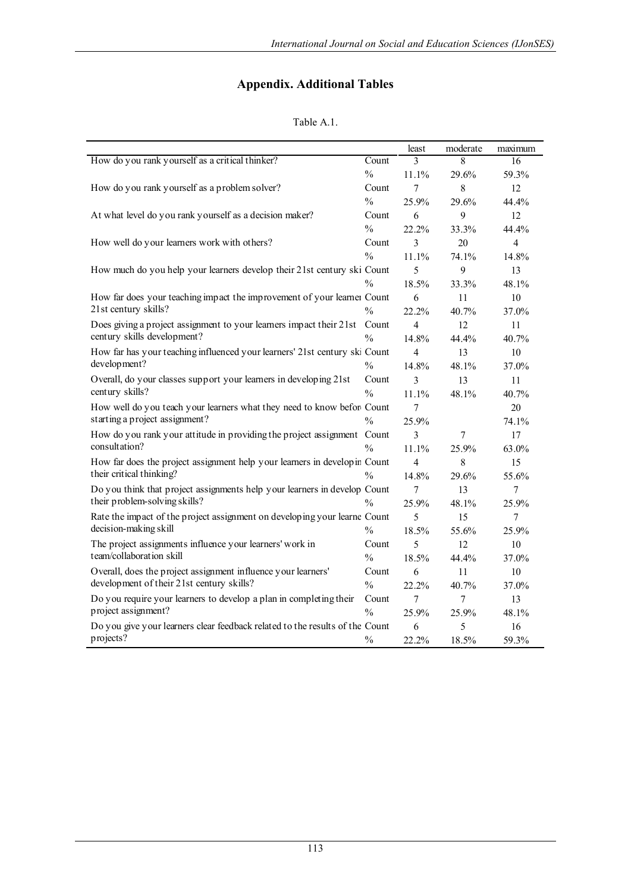# **Appendix. Additional Tables**

## Table A.1.

|                                                                              |                           | least                    | moderate | maximum        |
|------------------------------------------------------------------------------|---------------------------|--------------------------|----------|----------------|
| How do you rank yourself as a critical thinker?                              | $\overline{\text{Count}}$ | $\mathcal{E}$            | 8        | 16             |
|                                                                              | $\frac{0}{0}$             | 11.1%                    | 29.6%    | 59.3%          |
| How do you rank yourself as a problem solver?                                | Count                     | $\tau$                   | 8        | 12             |
|                                                                              | $\frac{0}{0}$             | 25.9%                    | 29.6%    | 44.4%          |
| At what level do you rank yourself as a decision maker?                      | Count                     | 6                        | 9        | 12             |
|                                                                              | $\frac{0}{0}$             | 22.2%                    | 33.3%    | 44.4%          |
| How well do your learners work with others?                                  | Count                     | $\overline{3}$           | 20       | $\overline{4}$ |
|                                                                              | $\frac{0}{0}$             | 11.1%                    | 74.1%    | 14.8%          |
| How much do you help your learners develop their 21st century ski Count      |                           | 5                        | 9        | 13             |
|                                                                              | $\frac{0}{0}$             | 18.5%                    | 33.3%    | 48.1%          |
| How far does your teaching impact the improvement of your learner Count      |                           | 6                        | 11       | 10             |
| 21st century skills?                                                         | $\frac{0}{0}$             | 22.2%                    | 40.7%    | 37.0%          |
| Does giving a project assignment to your learners impact their 21st          | Count                     | 4                        | 12       | 11             |
| century skills development?                                                  | $\frac{0}{0}$             | 14.8%                    | 44.4%    | 40.7%          |
| How far has your teaching influenced your learners' 21st century ski Count   |                           | $\overline{\mathcal{L}}$ | 13       | 10             |
| development?                                                                 | $\frac{0}{0}$             | 14.8%                    | 48.1%    | 37.0%          |
| Overall, do your classes support your learners in developing 21st            | Count                     | 3                        | 13       | 11             |
| century skills?                                                              | $\frac{0}{0}$             | 11.1%                    | 48.1%    | 40.7%          |
| How well do you teach your learners what they need to know befor Count       |                           | $\tau$                   |          | 20             |
| starting a project assignment?                                               | $\frac{0}{0}$             | 25.9%                    |          | 74.1%          |
| How do you rank your attitude in providing the project assignment Count      |                           | 3                        | 7        | 17             |
| consultation?                                                                | $\frac{0}{0}$             | 11.1%                    | 25.9%    | 63.0%          |
| How far does the project assignment help your learners in develop in Count   |                           | 4                        | 8        | 15             |
| their critical thinking?                                                     | $\frac{0}{0}$             | 14.8%                    | 29.6%    | 55.6%          |
| Do you think that project assignments help your learners in develop Count    |                           | $\overline{7}$           | 13       | $\tau$         |
| their problem-solving skills?                                                | $\frac{0}{0}$             | 25.9%                    | 48.1%    | 25.9%          |
| Rate the impact of the project assignment on developing your learne Count    |                           | 5                        | 15       | $\tau$         |
| decision-making skill                                                        | $\frac{0}{0}$             | 18.5%                    | 55.6%    | 25.9%          |
| The project assignments influence your learners' work in                     | Count                     | 5                        | 12       | 10             |
| team/collaboration skill                                                     | $\frac{0}{0}$             | 18.5%                    | 44.4%    | 37.0%          |
| Overall, does the project assignment influence your learners'                | Count                     | 6                        | 11       | 10             |
| development of their 21st century skills?                                    | $\frac{0}{0}$             | 22.2%                    | 40.7%    | 37.0%          |
| Do you require your learners to develop a plan in completing their           | Count                     | $\overline{7}$           | 7        | 13             |
| project assignment?                                                          | $\frac{0}{0}$             | 25.9%                    | 25.9%    | 48.1%          |
| Do you give your learners clear feedback related to the results of the Count |                           | 6                        | 5        | 16             |
| projects?                                                                    | $\frac{0}{0}$             | 22.2%                    | 18.5%    | 59.3%          |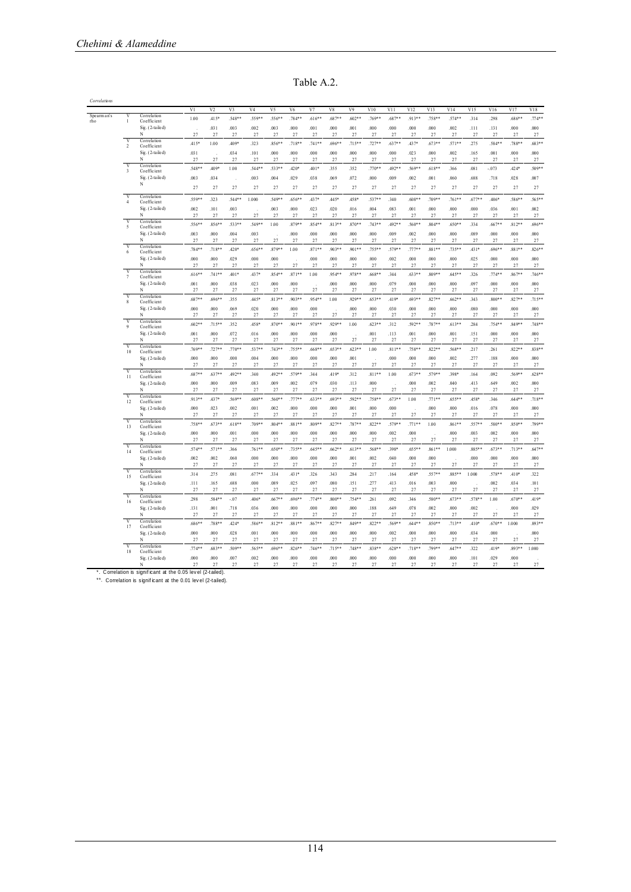Table A.2.

|              |                                           |                                 |                 |                    |                   |                |                  |                   | Table A.2.       |                  |                 |                  |                  |                  |                    |                      |                  |                    |                    |                    |
|--------------|-------------------------------------------|---------------------------------|-----------------|--------------------|-------------------|----------------|------------------|-------------------|------------------|------------------|-----------------|------------------|------------------|------------------|--------------------|----------------------|------------------|--------------------|--------------------|--------------------|
| Correlations |                                           |                                 |                 |                    |                   |                |                  |                   |                  |                  |                 |                  |                  |                  |                    |                      |                  |                    |                    |                    |
| Spearman's   |                                           | Correlation                     | $\overline{V}$  | V <sub>2</sub>     | V <sub>3</sub>    | V <sub>4</sub> | V <sub>5</sub>   | V <sub>6</sub>    | V <sub>7</sub>   | V <sub>8</sub>   | V <sub>9</sub>  | V10              | V11              | V12              | V13                | V14                  | V15              | V16                | V17                | V18                |
| rho          | $\mathbf{1}$                              | Coefficient                     | 100             | .415*              | 548**             | 559**          | $.556**$         | $.784**$          | $.616**$         | $.687**$         | $.602**$        | 769**            | 687**            | $.913**$         | 758**              | $.574**$             | .314             | .298               | $.686**$           | $.774**$           |
|              |                                           | Sig. (2-tailed)<br>N            | 27              | .031<br>27         | .003<br>27        | .002<br>27     | .003<br>27       | .000<br>$27\,$    | .001<br>27       | .000<br>27       | .001<br>27      | $.000\,$<br>27   | .000<br>27       | .000<br>27       | .000<br>27         | .002<br>$27\,$       | .111<br>$27\,$   | .131<br>27         | .000<br>$27\,$     | .000<br>$27\,$     |
|              | $\overline{\mathbf{v}}$<br>$\mathfrak{D}$ | Correlation<br>Coefficient      | $.415*$         | 1.00               | $.409*$           | .323           | $.856**$         | $.718**$          | $.741**$         | $.696**$         | $.715***$       | $.727**$         | $.637**$         | .437*            | $.673**$           | $.571**$             | .275             | $.584**$           | .788**             | $.683**$           |
|              |                                           | Sig. (2-tailed)                 | .031            |                    | .034              | .101           | .000             | .000              | .000             | .000.            | .000            | .000             | .000             | .023             | .000               | .002                 | .165             | .001               | .000               | .000               |
|              | $\mathbf{V}$                              | N<br>Correlation                | 27              | 27                 | 27                | 27             | 27               | 27                | 27               | 27               | 27              | 27               | 27               | 27               | 27                 | 27                   | 27               | 27                 | 27                 | 27                 |
|              | $\ddot{\mathbf{3}}$                       | Coeffic ient<br>Sig. (2-tailed) | 548**<br>.003   | 409*<br>.034       | 1.00              | 544*<br>.003   | $.533**$<br>.004 | $.420*$<br>.029   | 401*<br>.038     | .355<br>.069     | .352<br>.072    | $.770**$<br>.000 | .492**<br>.009   | .569**<br>.002   | $.618*$<br>.001    | .366<br>.060         | .081<br>.688     | $-.073$<br>.718    | .424*<br>.028      | $.509**$<br>.007   |
|              |                                           | N                               | 27              | 27                 | J.<br>27          | 27             | 27               | 27                | 27               | $27\,$           | 27              | 27               | 27               | 27               | 27                 | 27                   | 27               | 27                 | 27                 | 27                 |
|              | V                                         | Correlation                     |                 |                    |                   |                |                  |                   |                  |                  |                 |                  |                  |                  |                    |                      |                  |                    |                    |                    |
|              | $\overline{4}$                            | Coefficient<br>Sig. (2-tailed)  | $.559*$<br>002  | .323<br>.101       | $.544**$<br>003   | 1.000          | $.549**$<br>.003 | $.656**$<br>.000  | .437*<br>.023    | .445*<br>.020    | $.458*$<br>.016 | $.537**$<br>004  | .340<br>.083     | $.608*$<br>.001  | $.709*$<br>$000 -$ | $.761**$<br>.000     | $.677*$<br>.000. | $.406*$<br>.036    | $.586**$<br>.001   | $.565**$<br>.002   |
|              |                                           | N                               | 27              | 27                 | 27                | 27             | 27               | 27                | 27               | 27               | 27              | 27               | 27               | 27               | 27                 | 27                   | 27               | 27                 | 27                 | 27                 |
|              | $\overline{\mathbf{v}}$<br>5              | Correlation<br>Coefficient      | $.556**$        | $.856**$           | $.533**$          | .549**         | $1.00\,$         | $.879**$          | .854**           | $.813**$         | 870**           | $.743**$         | $.492**$         | $.560**$         | $.804**$           | $.650**$             | .334             | $.667**$           | $.812**$           | $.696**$           |
|              |                                           | Sig. (2-tailed)<br>N            | .003            | .000               | .004              | .003           |                  | .000              | .000             | .000             | .000            | .000             | .009             | .002             | .000               | 000.                 | .089             | .000               | .000               | .000               |
|              | $\overline{\mathbf{v}}$                   | Correlation                     | 27<br>$.784**$  | $27\,$<br>$.718**$ | $27\,$<br>$.420*$ | 27<br>$.656*$  | 27<br>$.879**$   | $27\,$<br>1.00    | 27<br>$.871**$   | 27<br>$.903**$   | 27<br>$.901**$  | 27<br>$.755**$   | 27<br>.579**     | 27<br>$.777**$   | 27<br>$.881**$     | $27\,$<br>.735**     | $27\,$<br>.431*  | 27<br>$.696**$     | $27\,$<br>$.881**$ | $27\,$<br>$.826**$ |
|              | 6                                         | Coefficient<br>Sig. (2-tailed)  | .000            | .000               | .029              | .000           | .000             |                   | .000             | .000             | .000            | .000             | .002             | .000             | .000               | .000                 | .025             | .000               | .000               | .000               |
|              |                                           | N                               | 27              | 27                 | 27                | 27             | 27               | 27                | 27               | 27               | 27              | 27               | 27               | 27               | 27                 | 27                   | 27               | 27                 | 27                 | 27                 |
|              | $\overline{7}$                            | Correlation<br>Coefficient      | $.616***$       | 741**              | $401*$            | .437*          | $854**$          | $.871**$          | 1.00             | $.954**$         | 978**           | 668**            | 344              | $.633**$         | $.809**$           | 645**                | .326             | $774**$            | $.867**$           | $.746**$           |
|              |                                           | Sig. (2-tailed)<br>N            | .001<br>27      | .000               | .038              | .023<br>27     | .000             | .000<br>27        | 27               | .000             | .000<br>27      | .000             | .079<br>27       | .000<br>27       | .000<br>27         | 000.                 | .097<br>27       | .000<br>27         | .000               | .000               |
|              | $\overline{\mathbf{v}}$                   | Correlation                     | $.687**$        | 27<br>$.696**$     | 27<br>.355        | .445*          | 27<br>$.813**$   | $.903**$          | $.954**$         | 27<br>1.00       | $.929**$        | 27<br>$.653**$   | $.419*$          | $.693**$         | $.827**$           | 27<br>$.662**$       | .343             | $.800**$           | 27<br>$.827**$     | 27<br>$.715***$    |
|              | $\bf 8$                                   | Coeffic ient<br>Sig. (2-tailed) | .000            | .000               | .069              | .020           | .000             | .000              | .000             |                  | 000.            | .000             | .030             | .000             | .000               | .000.                | .080             | 000.               | .000.              | .000               |
|              | $\overline{V}$                            | N                               | 27              | $27\,$             | 27                | 27             | 27               | $27\,$            | 27               | $27\,$           | 27              | 27               | 27               | 27               | 27                 | $27\,$               | $27\,$           | 27                 | $27\,$             | $27\,$             |
|              | 9                                         | Correlation<br>Coefficient      | $.602**$        | $.715***$          | .352              | .458*          | $.870**$         | $.901**$          | $.978**$         | .929**           | 1.00            | $.623**$         | .312             | $.592**$         | $.787**$           | $.613**$             | .284             | $.754**$           | $.849**$           | $.748**$           |
|              |                                           | Sig. (2-tailed)<br>N            | .001<br>27      | .000<br>27         | .072<br>27        | .016<br>27     | .000<br>27       | .000<br>27        | .000<br>27       | .000.<br>27      | 27              | .001<br>27       | .113<br>27       | .001<br>27       | .000<br>27         | .001<br>27           | .151<br>$27\,$   | .000<br>27         | .000<br>27         | .000<br>27         |
|              | $\overline{\mathbf{v}}$                   | Correlation<br>Coefficient      | .769**          | $.727**$           | $.770*$           | $.537**$       | $.743**$         | .755**            | $.668*$          | $.653**$         | $623**$         | 1.00             | $.811**$         | $.758**$         | $.822**$           | .568**               | .217             | .261               | $.822**$           | $.838**$           |
|              | $10$                                      | Sig. (2-tailed)                 | .000            | .000               | .000              | .004           | .000             | .000              | .000             | .000             | .001            |                  | .000             | .000             | .000               | .002                 | .277             | .188               | .000               | .000               |
|              | $\overline{\mathbf{v}}$                   | N<br>Correlation                | 27              | $27\,$             | $27\,$            | 27             | 27               | $27\,$            | 27               | 27               | 27              | 27               | 27               | 27               | 27                 | $27\,$               | 27               | 27                 | $27\,$             | $27\,$             |
|              | 11                                        | Coeffic ient                    | $.687**$        | $.637**$           | $.492**$          | .340           | .492**           | .579**            | .344             | .419*            | .312            | $.811**$         | 1.00             | $.673**$         | .579**             | .398*                | .164             | .092               | $.569**$           | $.628**$           |
|              |                                           | Sig. (2-tailed)<br>N            | 000<br>27       | 000<br>$27\,$      | 009<br>27         | 083<br>27      | .009<br>27       | .002<br>$27\,$    | 079<br>27        | .030<br>27       | .113<br>27      | .000<br>27       | 27               | .000<br>27       | .002<br>27         | 040<br>$27\,$        | .413<br>$27\,$   | .649<br>27         | .002<br>$27\,$     | .000<br>27         |
|              | V<br>12                                   | Correlation<br>Coefficient      | $.913**$        | $.437*$            | $.569**$          | 60.8**         | 560**            | $.777**$          | $.633**$         | $.693**$         | .592**          | $.758**$         | $.673**$         | 1.00             | $.771**$           | $.655***$            | 45.8*            | .346               | $644**$            | $.718**$           |
|              |                                           | Sig. (2-tailed)                 | .000            | .023               | .002              | .001           | .002             | .000              | .000             | .000             | .001            | .000             | .000             |                  | .000               | 000.                 | .016             | .078               | .000               | .000               |
|              | $\overline{\mathbf{v}}$                   | N<br>Correlation                | 27              | 27                 | 27                | 27             | 27               | 27                | 27               | 27               | 27              | 27               | 27               | 27               | 27                 | 27                   | 27               | 27                 | 27                 | 27                 |
|              | 13                                        | Coefficient<br>Sig. (2-tailed)  | $.758*$<br>.000 | $.673**$<br>.000   | $.618**$<br>.001  | .709**<br>.000 | $.804**$<br>.000 | $.881**$<br>.000  | $.809**$<br>.000 | $.827**$<br>.000 | .787**<br>.000  | $.822**$<br>.000 | $.579**$<br>.002 | $.771**$<br>.000 | 1.00               | $.861**$<br>$.000\,$ | $.557**$<br>.003 | $.580**$<br>.002   | $.850**$<br>.000   | .799**<br>.000     |
|              |                                           | N                               | 27              | $27\,$             | $27\,$            | 27             | 27               | $27\,$            | 27               | 27               | 27              | 27               | 27               | 27               | $27\,$             | $27\,$               | $27\,$           | $27\,$             | $27\,$             | $27\,$             |
|              | $\overline{V}$<br>14                      | Correlation<br>Coefficient      | $.574*$         | $.571**$           | .366              | $.761*$        | $.650*$          | $.735**$          | $.645*$          | $.662*$          | $.613*$         | $.568*$          | .398*            | .655*            | $.861**$           | 1.000                | .885*            | $.673**$           | $.713**$           | $.647*$            |
|              |                                           | Sig. (2-tailed)                 | .002            | .002               | .060              | .000           | .000             | .000              | .000             | .000.            | .001            | .002             | .040             | .000             | .000               |                      | .000             | .000               | .000               | .000               |
|              | $\overline{V}$                            | N<br>Correlation                | 27<br>.314      | 27<br>.275         | 27<br>.081        | 27<br>$.677**$ | 27<br>.334       | 27<br>.431*       | 27<br>.326       | 27<br>.343       | 27<br>.284      | 27<br>.217       | 27<br>.164       | 27<br>.458*      | 27<br>$.557**$     | 27<br>.885**         | 27<br>1.000      | 27<br>.578**       | 27<br>$.410*$      | 27<br>.322         |
|              | 15                                        | Coefficient<br>Sig. (2-tailed)  | .111            | .165               | .688              | .000           | .089             | .025              | .097             | .080             | 151             | .277             | .413             | .016             | .003               | .000                 |                  | .002               | 034                | 101                |
|              |                                           | N                               | 27              | 27                 | 27                | 27             | 27               | 27                | 27               | 27               | 27              | 27               | 27               | 27               | 27                 | 27                   | 27               | 27                 | 27                 | 27                 |
|              | $\overline{\mathbf{v}}$<br>16             | Correlation<br>Coeffic ient     | .298            | $.584**$           | $-.07$            | .406*          | $.667**$         | $.696**$          | $.774**$         | $800**$          | $.754**$        | .261             | .092             | .346             | .580**             | $.673**$             | $.578**$         | 1.00               | $.670**$           | .419*              |
|              |                                           | Sig. (2-tailed)<br>N            | .131            | 001                | 718               | 036<br>27      | 000<br>27        | 000               | 000<br>27        | .000<br>27       | 000<br>27       | .188             | 649              | 078<br>27        | .002<br>27         | $000 -$              | 002              |                    | 000                | .029               |
|              | $\overline{V}$                            | Correlation                     | 27<br>$.686**$  | 27<br>.788**       | 27<br>$.424*$     | 586**          | $.812**$         | $27\,$<br>$881**$ | $.867**$         | $.827**$         | 849**           | 27<br>$.822**$   | 27<br>.569*      | $.644*$          | $.850**$           | $27\,$<br>$.713**$   | $27\,$<br>41.0*  | $27\,$<br>$.670**$ | 27<br>1.000        | $27\,$<br>$.893**$ |
|              | 17                                        | Coefficient<br>Sig. (2-tailed)  | .000            | .000               | .028              | .001           | .000             | 000               | 000              | .000             | .000            | .000             | .002             | .000             | .000               | 000.                 | .034             | .000               |                    | .000               |
|              |                                           | N                               | 27              | 27                 | 27                | 27             | 27               | 27                | 27               | 27               | 27              | 27               | 27               | 27               | 27                 | 27                   | 27               | 27                 | 27                 | 27                 |
|              | $\overline{\mathbf{v}}$<br>18             | Correlation<br>Coefficient      | $.774**$        | $.683**$           | $.509**$          | $.565**$       | $.696**$         | $.826**$          | $.746*$          | $.715**$         | 748**           | $.838**$         | $.628*$          | $.718*$          | .799*              | $.647**$             | .322             | $.419*$            | .893**             | 1.000              |
|              |                                           | Sig. (2-tailed)<br>N            | .000<br>27      | .000<br>27         | .007<br>27        | .002<br>27     | .000             | .000              | .000             | .000<br>$27\,$   | .000<br>27      | .000<br>27       | .000<br>27       | .000<br>27       | .000<br>27         | 000.<br>$2\,7$       | .101<br>$27\,$   | .029<br>$27\,$     | .000<br>$2\,$      |                    |
|              |                                           |                                 |                 |                    |                   |                | 27               | $27\,$            | $27\,$           |                  |                 |                  |                  |                  |                    |                      |                  |                    |                    | 27                 |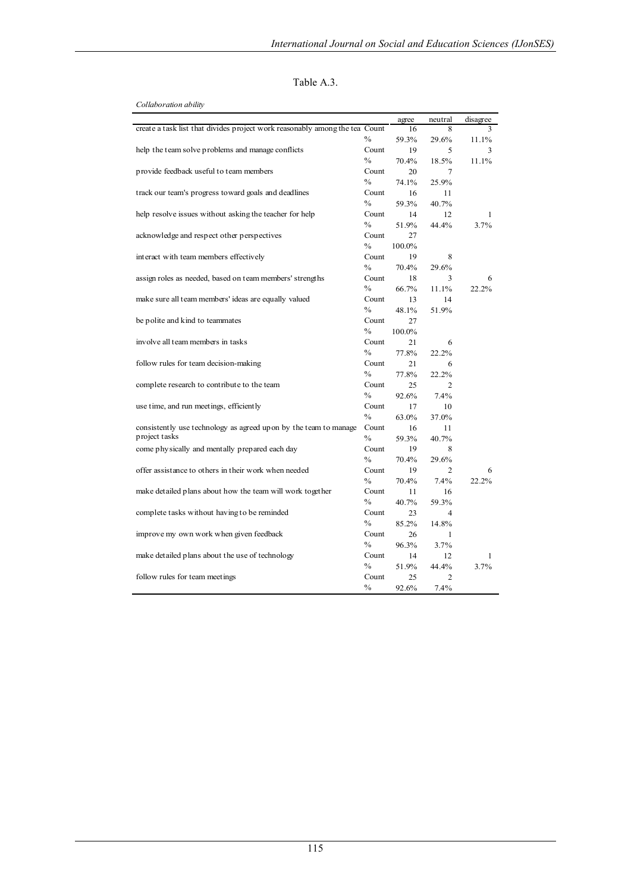| Table A.3 |  |
|-----------|--|
|-----------|--|

| Collaboration ability |
|-----------------------|
|-----------------------|

|                                                                                    |                        | agree       | neutral        | disagree |
|------------------------------------------------------------------------------------|------------------------|-------------|----------------|----------|
| create a task list that divides project work reasonably among the tea Count        |                        | 16          | 8              | 3        |
|                                                                                    | $\%$                   | 59.3%       | 29.6%          | 11.1%    |
| help the team solve problems and manage conflicts                                  | Count                  | 19          | 5              | 3        |
|                                                                                    | $\frac{0}{0}$          | 70.4%       | 18.5%          | 11.1%    |
| provide feedback useful to team members                                            | Count                  | 20          | 7              |          |
|                                                                                    | $\%$                   | 74.1%       | 25.9%          |          |
| track our team's progress toward goals and deadlines                               | Count                  | 16          | 11             |          |
|                                                                                    | $\%$                   | 59.3%       | 40.7%          |          |
| help resolve issues without asking the teacher for help                            | Count                  | 14          | 12             | 1        |
|                                                                                    | $\%$                   | 51.9%       | 44.4%          | 3.7%     |
| acknowledge and respect other perspectives                                         | Count                  | 27          |                |          |
|                                                                                    | $\frac{0}{0}$          | 100.0%      |                |          |
| interact with team members effectively                                             | Count                  | 19          | 8              |          |
|                                                                                    | $\frac{0}{0}$          | 70.4%       | 29.6%          |          |
| assign roles as needed, based on team members' strengths                           | Count                  | 18          | 3              | 6        |
|                                                                                    | $\frac{0}{0}$          | 66.7%       | 11.1%          | 22.2%    |
| make sure all team members' ideas are equally valued                               | Count                  | 13          | 14             |          |
|                                                                                    | $\%$                   | 48.1%       | 51.9%          |          |
| be polite and kind to teammates                                                    | Count                  | 27          |                |          |
|                                                                                    | $\frac{0}{0}$          | 100.0%      |                |          |
| involve all team members in tasks                                                  | Count                  | 21          | 6              |          |
|                                                                                    | $\frac{0}{0}$          | 77.8%       | 22.2%          |          |
| follow rules for team decision-making                                              | Count                  | 21          | 6              |          |
|                                                                                    | $\frac{0}{0}$          | 77.8%       | 22.2%          |          |
| complete research to contribute to the team                                        | Count                  | 25          | $\overline{2}$ |          |
|                                                                                    | $\frac{0}{0}$          | 92.6%       | 7.4%           |          |
| use time, and run meetings, efficiently                                            | Count                  | 17          | 10             |          |
|                                                                                    | $\frac{0}{0}$          | 63.0%       | 37.0%          |          |
| consistently use technology as agreed up on by the team to manage<br>project tasks | Count                  | 16          | 11             |          |
|                                                                                    | $\frac{0}{0}$          | 59.3%       | 40.7%          |          |
| come physically and mentally prepared each day                                     | Count<br>$\frac{0}{0}$ | 19          | 8              |          |
|                                                                                    |                        | 70.4%       | 29.6%          |          |
| offer assistance to others in their work when needed                               | Count                  | 19          | 2              | 6        |
|                                                                                    | $\frac{0}{0}$          | 70.4%       | 7.4%           | 22.2%    |
| make detailed plans about how the team will work together                          | Count                  | 11          | 16             |          |
|                                                                                    | $\frac{0}{0}$<br>Count | 40.7%       | 59.3%          |          |
| complete tasks without having to be reminded                                       | $\frac{0}{0}$          | 23          | 4              |          |
|                                                                                    | Count                  | 85.2%       | 14.8%          |          |
| improve my own work when given feedback                                            | $\%$                   | 26          | 1              |          |
|                                                                                    | Count                  | 96.3%       | 3.7%           |          |
| make detailed plans about the use of technology                                    | $\frac{0}{0}$          | 14          | 12<br>44.4%    | 1        |
|                                                                                    | Count                  | 51.9%       | $\overline{c}$ | 3.7%     |
| follow rules for team meetings                                                     | $\frac{0}{0}$          | 25<br>92.6% | 7.4%           |          |
|                                                                                    |                        |             |                |          |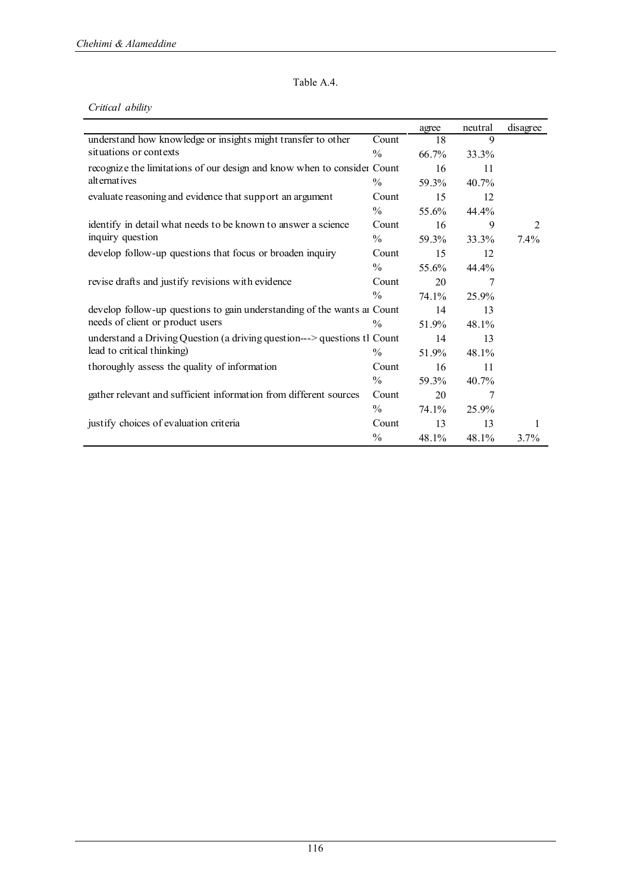#### Table A.4.

#### *Critical ability*

|                                                                          |               | agree | neutral  | disagree |
|--------------------------------------------------------------------------|---------------|-------|----------|----------|
| understand how knowledge or insights might transfer to other             | Count         | 18    | 9        |          |
| situations or contexts                                                   | $\%$          | 66.7% | 33.3%    |          |
| recognize the limitations of our design and know when to consider Count  |               | 16    | 11       |          |
| alternatives                                                             | $\frac{0}{0}$ | 59.3% | $40.7\%$ |          |
| evaluate reasoning and evidence that support an argument                 | Count         | 15    | 12       |          |
|                                                                          | $\frac{0}{0}$ | 55.6% | 44.4%    |          |
| identify in detail what needs to be known to answer a science            | Count         | 16    | 9        | 2        |
| inquiry question                                                         | $\frac{0}{0}$ | 59.3% | 33.3%    | $7.4\%$  |
| develop follow-up questions that focus or broaden inquiry                | Count         | 15    | 12       |          |
|                                                                          | $\%$          | 55.6% | 44.4%    |          |
| revise drafts and justify revisions with evidence                        | Count         | 20    | 7        |          |
|                                                                          | $\frac{0}{0}$ | 74.1% | 25.9%    |          |
| develop follow-up questions to gain understanding of the wants at Count  |               | 14    | 13       |          |
| needs of client or product users                                         | $\frac{0}{0}$ | 51.9% | 48.1%    |          |
| understand a Driving Question (a driving question---> questions tl Count |               | 14    | 13       |          |
| lead to critical thinking)                                               | $\frac{0}{0}$ | 51.9% | 48.1%    |          |
| thoroughly assess the quality of information                             | Count         | 16    | 11       |          |
|                                                                          | $\frac{0}{0}$ | 59.3% | 40.7%    |          |
| gather relevant and sufficient information from different sources        | Count         | 20    | 7        |          |
|                                                                          | $\%$          | 74.1% | 25.9%    |          |
| justify choices of evaluation criteria                                   | Count         | 13    | 13       | 1        |
|                                                                          | $\frac{0}{0}$ | 48.1% | 48.1%    | 3.7%     |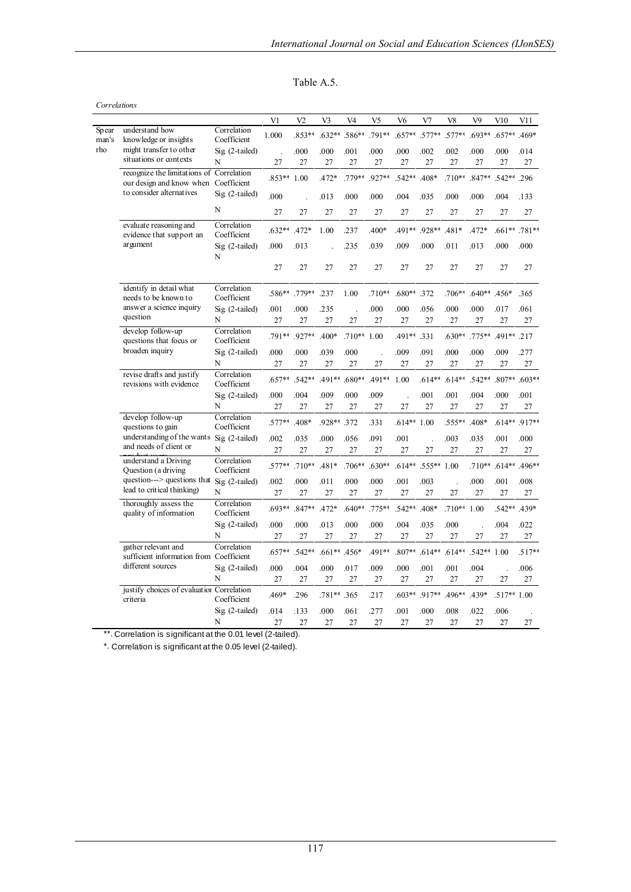| Table<br>$\mathbf{A}$ |  |
|-----------------------|--|
|-----------------------|--|

| Correlations   |                                                                      |                            |                |                |              |               |                |                |              |                |                |                |                 |
|----------------|----------------------------------------------------------------------|----------------------------|----------------|----------------|--------------|---------------|----------------|----------------|--------------|----------------|----------------|----------------|-----------------|
|                |                                                                      |                            | V <sub>1</sub> | V <sub>2</sub> | V3           | V4            | V <sub>5</sub> | V <sub>6</sub> | V7           | V8             | V <sub>9</sub> | V10            | V11             |
| Spear<br>man's | understand how<br>knowledge or insights                              | Correlation<br>Coefficient | 1.000          | .853**         |              | .632** .586** | $.791**$       | $.657**$       | $.577**$     | $.577**$       | $.693**$       | $.657**$ .469* |                 |
| rho            | might transfer to other                                              | $Sig(2-tailed)$            |                | .000           | .000         | .001          | .000           | .000           | .002         | .002           | .000           | .000           | .014            |
|                | situations or contexts                                               | N                          | 27             | 27             | 27           | 27            | 27             | 27             | 27           | 27             | 27             | 27             | 27              |
|                | recognize the limitations of<br>our design and know when Coefficient | Correlation                | $.853**$       | 1.00           | $.472*$      | .779**        | .927**         | $.542**$       | $.408*$      | $.710**$       | $.847**$       | $.542**$ .296  |                 |
|                | to consider alternatives                                             | Sig (2-tailed)             | .000           | $\overline{a}$ | .013         | .000          | .000           | .004           | .035         | .000           | .000           | .004           | .133            |
|                |                                                                      | N                          | 27             | 27             | 27           | 27            | 27             | 27             | 27           | 27             | 27             | 27             | 27              |
|                | evaluate reasoning and<br>evidence that support an                   | Correlation<br>Coefficient | $.632**$       | $.472*$        | 1.00         | .237          | $.400*$        | .491**         | .928**       | $.481*$        | $.472*$        |                | $.661**$ .781** |
|                | argument                                                             | $Sig(2-tailed)$<br>N       | .000           | .013           |              | .235          | .039           | .009           | .000         | .011           | .013           | .000           | .000            |
|                |                                                                      |                            | 27             | 27             | 27           | 27            | 27             | 27             | 27           | 27             | 27             | 27             | 27              |
|                | identify in detail what<br>needs to be known to                      | Correlation<br>Coefficient |                | .586** .779**  | .237         | 1.00          | $.710**$       | .680** .372    |              | .706**         | $.640**$ .456* |                | .365            |
|                | answer a science inquiry<br>question                                 | $Sig(2-tailed)$<br>N       | .001<br>27     | .000<br>27     | .235<br>27   | 27            | .000<br>27     | .000<br>27     | .056<br>27   | .000<br>27     | .000<br>27     | .017<br>27     | .061<br>27      |
|                | develop follow-up<br>questions that focus or                         | Correlation<br>Coefficient | .791** .927**  |                | $.400*$      | $.710**$      | 1.00           | .491**         | .331         | $.630**$       | $.775**$       | .491** .217    |                 |
|                | broaden inquiry                                                      | $Sig(2-tailed)$<br>N       | .000<br>27     | .000<br>27     | .039<br>27   | .000<br>27    | 27             | .009<br>27     | .091<br>27   | .000<br>27     | .000<br>27     | .009<br>27     | .277<br>27      |
|                | revise drafts and justify                                            | Correlation                |                |                |              |               |                |                |              |                |                |                |                 |
|                | revisions with evidence                                              | Coefficient                | $.657**$       | .542**         |              | .491** .680** | .491**         | 1.00           | $.614**$     | $.614**$       | .542**         | $.807**$       | $.603**$        |
|                |                                                                      | $Sig(2-tailed)$<br>N       | .000           | .004           | .009         | .000          | .009           |                | .001         | .001           | .004           | .000           | .001            |
|                | develop follow-up                                                    | Correlation                | 27             | 27             | 27           | 27            | 27             | 27             | 27           | 27             | 27             | 27             | 27              |
|                | questions to gain                                                    | Coefficient                | $.577**$       | $.408*$        | .928**       | .372          | .331           | $.614**$       | 1.00         | .555**         | .408*          | $.614**$       | $.917**$        |
|                | understanding of the wants<br>and needs of client or                 | Sig (2-tailed)             | .002           | .035           | .000         | .056          | .091           | .001           |              | .003           | .035           | .001           | .000            |
|                |                                                                      | N                          | 27             | 27             | 27           | 27            | 27             | 27             | 27           | 27             | 27             | 27             | 27              |
|                | understand a Driving<br>Question (a driving                          | Correlation<br>Coefficient | $.577**$       | $.710**$       | $.481*$      | $.706**$      | $.630**$       | $.614**$       | $.555**1.00$ |                | $.710**$       | $.614**$       | $.496**$        |
|                | question---> questions that<br>lead to critical thinking)            | Sig (2-tailed)             | .002           | .000           | .011         | .000          | .000           | .001           | .003         | $\overline{a}$ | .000           | .001           | .008            |
|                |                                                                      | N                          | 27             | 27             | 27           | 27            | 27             | 27             | 27           | 27             | 27             | 27             | 27              |
|                | thoroughly assess the<br>quality of information                      | Correlation<br>Coefficient | $.693**$       | $.847**$       | $.472*$      | $.640**$      | .775**         | .542**         | .408*        | $.710**$       | 1.00           | .542**         | .439*           |
|                |                                                                      | $Sig(2-tailed)$            | .000           | .000           | .013         | .000          | .000           | .004           | .035         | .000           |                | .004           | .022            |
|                |                                                                      | N                          | 27             | 27             | 27           | 27            | 27             | 27             | 27           | 27             | 27             | 27             | 27              |
|                | gather relevant and<br>sufficient information from Coefficient       | Correlation                | $.657**$       | .542**         | .661** .456* |               | .491**         | $.807**$       | $.614**$     | $.614**$       | .542**         | 1.00           | $.517**$        |
|                | different sources                                                    | $Sig(2-tailed)$            | .000           | .004           | .000         | .017          | .009           | .000           | .001         | .001           | .004           |                | .006            |
|                |                                                                      | N                          | 27             | 27             | 27           | 27            | 27             | 27             | 27           | 27             | 27             | 27             | 27              |
|                | justify choices of evaluation Correlation<br>criteria                | Coefficient                | .469*          | .296           | .781** .365  |               | .217           | $603**$        | .917**       | .496**         | $.439*$        | $.517**1.00$   |                 |
|                |                                                                      | $Sig(2-tailed)$            | .014           | .133           | .000         | .061          | .277           | .001           | .000         | .008           | .022           | .006           |                 |
|                |                                                                      | N                          | 27             | 27             | 27           | 27            | 27             | 27             | 27           | 27             | 27             | 27             | 27              |

\*\*. Correlation is significant at the 0.01 level (2-tailed).

\*. Correlation is significant at the 0.05 level (2-tailed).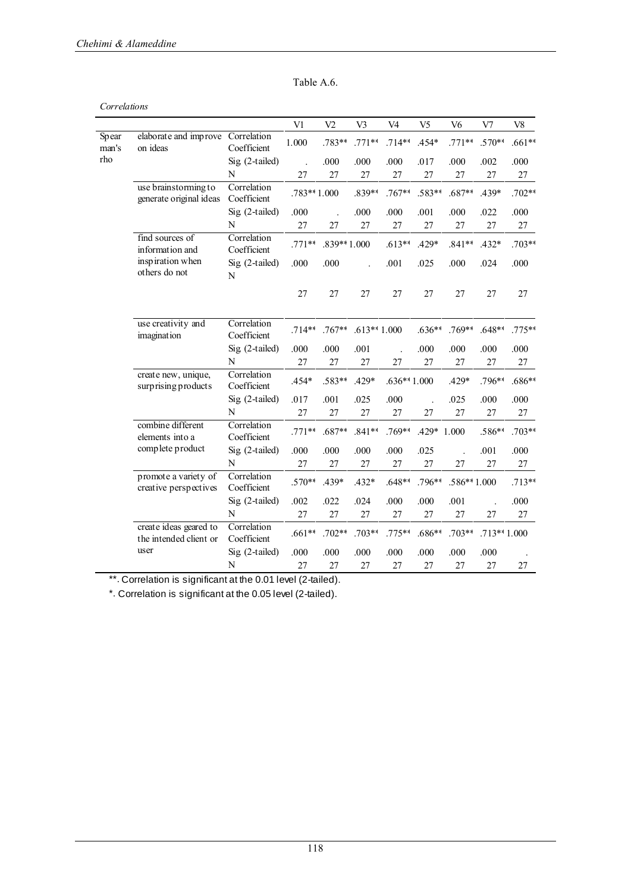| Table A.6. |  |
|------------|--|
|------------|--|

| Correlations   |                                                  |                               |             |                |               |                |                |                |               |            |
|----------------|--------------------------------------------------|-------------------------------|-------------|----------------|---------------|----------------|----------------|----------------|---------------|------------|
|                |                                                  |                               | V1          | V <sub>2</sub> | V3            | V <sub>4</sub> | V <sub>5</sub> | V <sub>6</sub> | V7            | ${\rm V8}$ |
| Spear<br>man's | elaborate and improve<br>on ideas                | Correlation<br>Coefficient    | 1.000       | .783**         | $.771**$      | $.714**$       | .454*          | $.771**$       | $.570**$      | $.661**$   |
| rho            |                                                  | $Sig(2-tailed)$               |             | .000           | .000          | .000           | .017           | .000           | .002          | .000       |
|                |                                                  | N                             | 27          | 27             | 27            | 27             | 27             | 27             | 27            | 27         |
|                | use brainstorming to<br>generate original ideas  | Correlation<br>Coefficient    | .783**1.000 |                | .839**        | $.767**$       | .583**         | $.687**$       | $.439*$       | $.702**$   |
|                |                                                  | Sig (2-tailed)                | .000        |                | .000          | .000           | .001           | .000           | .022          | .000       |
|                |                                                  | N                             | 27          | 27             | 27            | 27             | 27             | 27             | 27            | $27\,$     |
|                | find sources of<br>information and               | Correlation<br>Coefficient    | $.771**$    | $.839**1.000$  |               | $.613**$       | $.429*$        | $.841**$       | $.432*$       | $.703**$   |
|                | inspiration when<br>others do not                | Sig (2-tailed)<br>$\mathbf N$ | .000        | .000           |               | .001           | .025           | .000           | .024          | .000       |
|                |                                                  |                               | 27          | 27             | 27            | 27             | 27             | 27             | 27            | 27         |
|                | use creativity and<br>imagination                | Correlation<br>Coefficient    | $.714**$    | $.767**$       | $.613**1.000$ |                | $.636**$       | $.769**$       | $.648**$      | $.775**$   |
|                |                                                  | $Sig(2-tailed)$               | .000        | .000           | .001          |                | .000           | .000           | .000          | .000       |
|                |                                                  | N                             | 27          | 27             | 27            | 27             | 27             | 27             | 27            | 27         |
|                | create new, unique,<br>surprising products       | Correlation<br>Coefficient    | .454*       | .583**         | .429*         | $.636**1.000$  |                | .429*          | .796**        | $.686**$   |
|                |                                                  | Sig (2-tailed)                | .017        | .001           | .025          | .000           |                | .025           | .000          | .000       |
|                |                                                  | N                             | 27          | 27             | 27            | 27             | 27             | 27             | 27            | $27\,$     |
|                | combine different<br>elements into a             | Correlation<br>Coefficient    | $.771**$    | $.687**$       | $.841**$      | $.769**$       | .429*          | 1.000          | .586**        | $.703**$   |
|                | complete product                                 | $Sig(2-tailed)$               | .000        | .000           | .000          | .000           | .025           |                | .001          | .000       |
|                |                                                  | $\mathbf N$                   | 27          | 27             | 27            | 27             | 27             | 27             | 27            | 27         |
|                | promote a variety of<br>creative perspectives    | Correlation<br>Coefficient    | $.570**$    | $.439*$        | $.432*$       | $.648**$       | $.796**$       | $.586**1.000$  |               | $.713**$   |
|                |                                                  | Sig (2-tailed)                | .002        | .022           | .024          | .000           | .000           | .001           |               | .000       |
|                |                                                  | N                             | 27          | 27             | 27            | 27             | 27             | 27             | 27            | 27         |
|                | create ideas geared to<br>the intended client or | Correlation<br>Coefficient    | $.661**$    | $.702**$       | $.703**$      | $.775**$       | $.686**$       | $.703**$       | $.713**1.000$ |            |
|                | user                                             | $Sig(2-tailed)$               | .000        | .000           | .000          | .000           | .000           | .000           | .000          |            |
|                |                                                  | $\mathbf N$                   | 27          | 27             | 27            | 27             | 27             | 27             | 27            | 27         |

\*\*. Correlation is significant at the 0.01 level (2-tailed).

\*. Correlation is significant at the 0.05 level (2-tailed).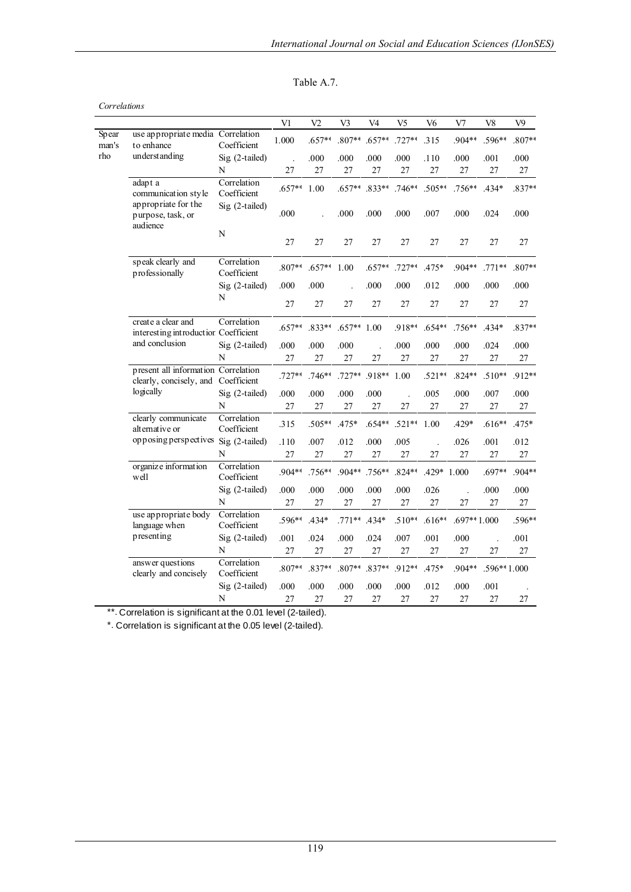| able<br>÷. |  |
|------------|--|
|------------|--|

|                |                                                                                         |                            | V <sub>1</sub> | V <sub>2</sub> | V3       | V <sub>4</sub> | V <sub>5</sub> | V <sub>6</sub> | V7            | V <sub>8</sub> | V <sub>9</sub> |
|----------------|-----------------------------------------------------------------------------------------|----------------------------|----------------|----------------|----------|----------------|----------------|----------------|---------------|----------------|----------------|
| Spear<br>man's | use appropriate media Correlation<br>to enhance                                         | Coefficient                | 1.000          | $.657**$       | $.807**$ | $.657**$       | $.727**$       | .315           | .904**        | .596**         | $.807**$       |
| rho            | understanding                                                                           | Sig (2-tailed)             |                | .000           | .000     | .000           | .000           | .110           | .000          | .001           | .000           |
|                |                                                                                         | N                          | 27             | 27             | 27       | 27             | 27             | 27             | 27            | 27             | 27             |
|                | adapt a<br>communication style                                                          | Correlation<br>Coefficient | $.657**$       | 1.00           | $.657**$ | $.833**$       | $.746**$       | $.505**$       | $.756**$      | .434*          | $.837**$       |
|                | appropriate for the<br>purpose, task, or<br>audience                                    | Sig (2-tailed)             | .000           |                | .000     | .000           | .000           | .007           | .000          | .024           | .000           |
|                |                                                                                         | ${\bf N}$                  | 27             | 27             | 27       | 27             | 27             | 27             | 27            | 27             | $27\,$         |
|                | speak clearly and<br>professionally                                                     | Correlation<br>Coefficient | $.807**$       | $.657**$       | 1.00     | $.657**$       | $.727**$       | .475*          | $.904**$      | $.771**$       | .807**         |
|                |                                                                                         | Sig (2-tailed)             | .000           | .000           |          | .000           | .000           | .012           | .000          | .000           | .000           |
|                |                                                                                         | N                          | 27             | 27             | 27       | 27             | 27             | 27             | 27            | 27             | 27             |
|                | create a clear and<br>interesting introductior Coefficient<br>and conclusion            | Correlation                | $.657**$       | .833**         | $.657**$ | 1.00           | .918**         | $.654**$       | $.756**$      | $.434*$        | $.837**$       |
|                |                                                                                         | Sig (2-tailed)             | .000           | .000           | .000     |                | .000           | .000           | .000          | .024           | .000           |
|                |                                                                                         | N                          | 27             | 27             | 27       | 27             | 27             | 27             | 27            | 27             | 27             |
|                | present all information Correlation<br>clearly, concisely, and Coefficient<br>logically |                            | $.727**$       | $.746**$       | $.727**$ | .918**         | 1.00           | $.521**$       | $.824**$      | $.510**$       | .912**         |
|                |                                                                                         | Sig (2-tailed)             | .000           | .000           | .000     | .000           |                | .005           | .000          | .007           | .000           |
|                |                                                                                         | N                          | 27             | 27             | 27       | 27             | 27             | 27             | 27            | 27             | 27             |
|                | clearly communicate<br>alternative or                                                   | Correlation<br>Coefficient | .315           | .505**         | $.475*$  | $.654**$       | $.521**$       | 1.00           | $.429*$       | $.616**$       | .475*          |
|                | opposing perspectives Sig (2-tailed)                                                    |                            | .110           | .007           | .012     | .000           | .005           |                | .026          | .001           | .012           |
|                |                                                                                         | N                          | 27             | 27             | 27       | 27             | 27             | 27             | 27            | 27             | 27             |
|                | organize information<br>well                                                            | Correlation<br>Coefficient | .904**         | $.756**$       | $.904**$ | .756**         | $.824**$       | .429*          | 1.000         | .697**         | $.904**$       |
|                |                                                                                         | Sig (2-tailed)             | .000           | .000           | .000     | .000           | .000           | .026           |               | .000           | .000           |
|                |                                                                                         | N                          | $27\,$         | $27\,$         | $27\,$   | 27             | $27\,$         | 27             | 27            | 27             | $27\,$         |
|                | use appropriate body<br>language when                                                   | Correlation<br>Coefficient | .596**         | .434*          | $.771**$ | $.434*$        | $.510**$       | $.616**$       | $.697**1.000$ |                | .596**         |
|                | presenting                                                                              | Sig (2-tailed)             | .001           | .024           | .000     | .024           | .007           | .001           | .000          | $\overline{a}$ | .001           |
|                |                                                                                         | N                          | 27             | 27             | 27       | 27             | 27             | 27             | 27            | 27             | 27             |
|                | answer questions<br>clearly and concisely                                               | Correlation<br>Coefficient | .807**         | $.837**$       | $.807**$ | $.837**$       | .912**         | .475*          | .904**        | .596**1.000    |                |
|                |                                                                                         | Sig (2-tailed)             | .000           | .000           | .000     | .000           | .000           | .012           | .000          | .001           |                |
|                |                                                                                         | N                          | 27             | 27             | 27       | 27             | 27             | 27             | 27            | 27             | 27             |

\*\*. Correlation is significant at the 0.01 level (2-tailed).

\*. Correlation is significant at the 0.05 level (2-tailed).